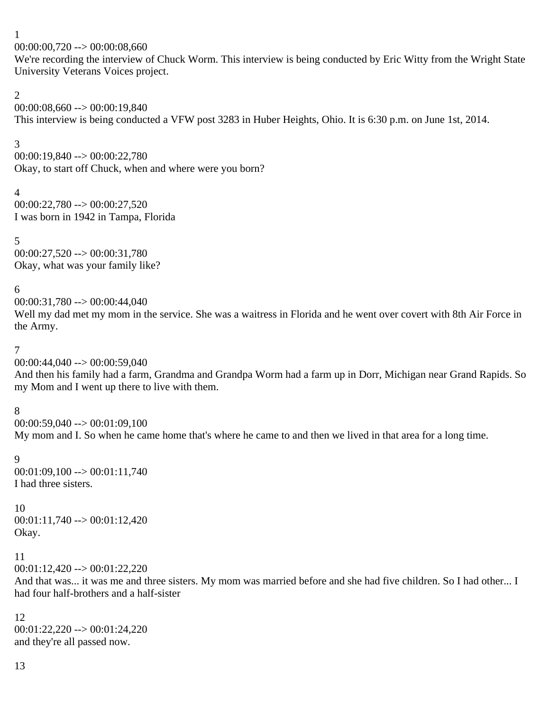$00:00:00,720 \rightarrow 00:00:08,660$ 

We're recording the interview of Chuck Worm. This interview is being conducted by Eric Witty from the Wright State University Veterans Voices project.

#### 2

00:00:08,660 --> 00:00:19,840 This interview is being conducted a VFW post 3283 in Huber Heights, Ohio. It is 6:30 p.m. on June 1st, 2014.

# 3

 $00:00:19,840 \rightarrow 00:00:22,780$ Okay, to start off Chuck, when and where were you born?

4 00:00:22,780 --> 00:00:27,520 I was born in 1942 in Tampa, Florida

#### 5 00:00:27,520 --> 00:00:31,780 Okay, what was your family like?

6

00:00:31,780 --> 00:00:44,040 Well my dad met my mom in the service. She was a waitress in Florida and he went over covert with 8th Air Force in the Army.

# 7

00:00:44,040 --> 00:00:59,040

And then his family had a farm, Grandma and Grandpa Worm had a farm up in Dorr, Michigan near Grand Rapids. So my Mom and I went up there to live with them.

# 8

 $00:00:59,040 \rightarrow 00:01:09,100$ My mom and I. So when he came home that's where he came to and then we lived in that area for a long time.

# 9

 $00:01:09,100 \rightarrow 00:01:11,740$ I had three sisters.

# 10

 $00:01:11,740 \rightarrow 00:01:12,420$ Okay.

# 11

 $00:01:12,420 \rightarrow 00:01:22,220$ 

And that was... it was me and three sisters. My mom was married before and she had five children. So I had other... I had four half-brothers and a half-sister

#### 12 00:01:22,220 --> 00:01:24,220 and they're all passed now.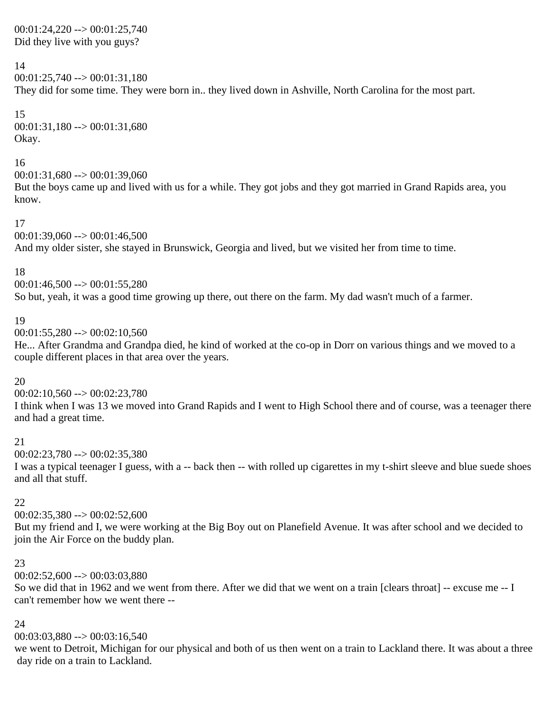#### $00:01:24,220 \rightarrow 00:01:25,740$ Did they live with you guys?

# 14

00:01:25,740 --> 00:01:31,180

They did for some time. They were born in.. they lived down in Ashville, North Carolina for the most part.

15  $00:01:31,180 \rightarrow 00:01:31,680$ Okay.

# 16

 $00:01:31,680 \rightarrow 00:01:39,060$ 

But the boys came up and lived with us for a while. They got jobs and they got married in Grand Rapids area, you know.

# 17

 $00:01:39,060 \rightarrow 00:01:46,500$ And my older sister, she stayed in Brunswick, Georgia and lived, but we visited her from time to time.

# 18

 $00:01:46,500 \rightarrow 00:01:55,280$ 

So but, yeah, it was a good time growing up there, out there on the farm. My dad wasn't much of a farmer.

# 19

 $00:01:55,280 \rightarrow 00:02:10,560$ 

He... After Grandma and Grandpa died, he kind of worked at the co-op in Dorr on various things and we moved to a couple different places in that area over the years.

# 20

 $00:02:10.560 \rightarrow 00:02:23.780$ 

I think when I was 13 we moved into Grand Rapids and I went to High School there and of course, was a teenager there and had a great time.

# 21

 $00:02:23,780 \rightarrow 00:02:35,380$ 

I was a typical teenager I guess, with a -- back then -- with rolled up cigarettes in my t-shirt sleeve and blue suede shoes and all that stuff.

# 22

 $00:02:35,380 \rightarrow 00:02:52,600$ 

But my friend and I, we were working at the Big Boy out on Planefield Avenue. It was after school and we decided to join the Air Force on the buddy plan.

# 23

 $00:02:52,600 \rightarrow 00:03:03,880$ 

So we did that in 1962 and we went from there. After we did that we went on a train [clears throat] -- excuse me -- I can't remember how we went there --

# 24

00:03:03,880 --> 00:03:16,540

we went to Detroit, Michigan for our physical and both of us then went on a train to Lackland there. It was about a three day ride on a train to Lackland.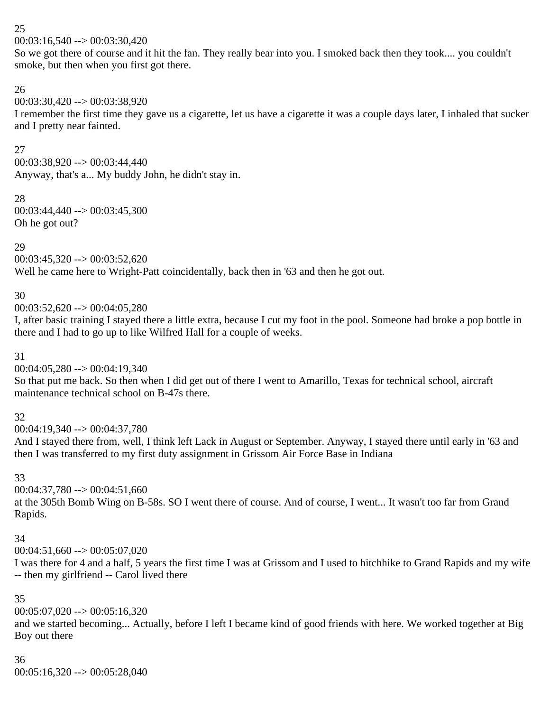$00:03:16,540 \rightarrow 00:03:30,420$ 

So we got there of course and it hit the fan. They really bear into you. I smoked back then they took.... you couldn't smoke, but then when you first got there.

# 26

 $00:03:30.420 \rightarrow 00:03:38.920$ 

I remember the first time they gave us a cigarette, let us have a cigarette it was a couple days later, I inhaled that sucker and I pretty near fainted.

# 27

00:03:38,920 --> 00:03:44,440 Anyway, that's a... My buddy John, he didn't stay in.

28 00:03:44,440 --> 00:03:45,300 Oh he got out?

# 29

 $00:03:45,320 \rightarrow 00:03:52,620$ Well he came here to Wright-Patt coincidentally, back then in '63 and then he got out.

# 30

 $00:03:52.620 \rightarrow 00:04:05.280$ 

I, after basic training I stayed there a little extra, because I cut my foot in the pool. Someone had broke a pop bottle in there and I had to go up to like Wilfred Hall for a couple of weeks.

# 31

00:04:05,280 --> 00:04:19,340

So that put me back. So then when I did get out of there I went to Amarillo, Texas for technical school, aircraft maintenance technical school on B-47s there.

# 32

00:04:19,340 --> 00:04:37,780

And I stayed there from, well, I think left Lack in August or September. Anyway, I stayed there until early in '63 and then I was transferred to my first duty assignment in Grissom Air Force Base in Indiana

# 33

00:04:37,780 --> 00:04:51,660

at the 305th Bomb Wing on B-58s. SO I went there of course. And of course, I went... It wasn't too far from Grand Rapids.

# 34

 $00:04:51,660 \rightarrow 00:05:07,020$ 

I was there for 4 and a half, 5 years the first time I was at Grissom and I used to hitchhike to Grand Rapids and my wife -- then my girlfriend -- Carol lived there

# 35

 $00:05:07,020 \rightarrow 00:05:16,320$ 

and we started becoming... Actually, before I left I became kind of good friends with here. We worked together at Big Boy out there

# 36

 $00:05:16,320 \rightarrow 00:05:28,040$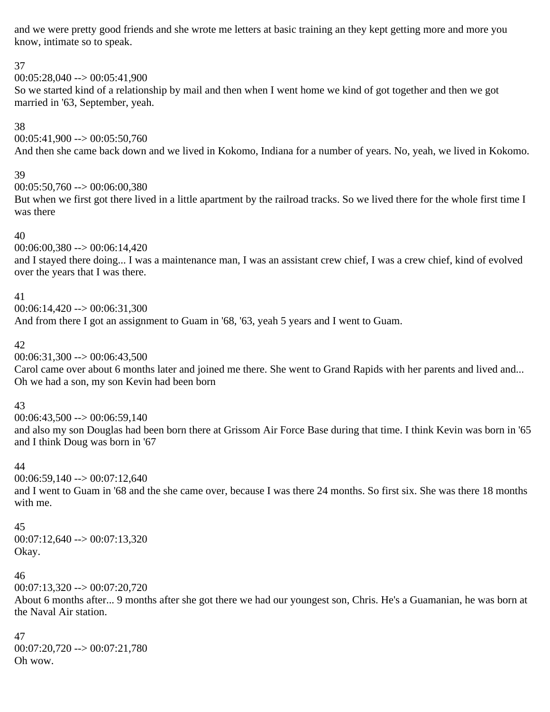and we were pretty good friends and she wrote me letters at basic training an they kept getting more and more you know, intimate so to speak.

#### 37

00:05:28,040 --> 00:05:41,900

So we started kind of a relationship by mail and then when I went home we kind of got together and then we got married in '63, September, yeah.

#### 38

 $00:05:41,900 \rightarrow 00:05:50,760$ And then she came back down and we lived in Kokomo, Indiana for a number of years. No, yeah, we lived in Kokomo.

#### 39

00:05:50,760 --> 00:06:00,380

But when we first got there lived in a little apartment by the railroad tracks. So we lived there for the whole first time I was there

#### 40

00:06:00,380 --> 00:06:14,420

and I stayed there doing... I was a maintenance man, I was an assistant crew chief, I was a crew chief, kind of evolved over the years that I was there.

#### 41

00:06:14,420 --> 00:06:31,300

And from there I got an assignment to Guam in '68, '63, yeah 5 years and I went to Guam.

#### 42

 $00:06:31,300 \rightarrow 00:06:43,500$ 

Carol came over about 6 months later and joined me there. She went to Grand Rapids with her parents and lived and... Oh we had a son, my son Kevin had been born

# 43

 $00:06:43,500 \rightarrow 00:06:59,140$ and also my son Douglas had been born there at Grissom Air Force Base during that time. I think Kevin was born in '65 and I think Doug was born in '67

# 44

 $00:06:59,140 \rightarrow 00:07:12,640$ and I went to Guam in '68 and the she came over, because I was there 24 months. So first six. She was there 18 months with me.

# 45

 $00:07:12,640 \rightarrow 00:07:13,320$ Okay.

# 46

00:07:13,320 --> 00:07:20,720

About 6 months after... 9 months after she got there we had our youngest son, Chris. He's a Guamanian, he was born at the Naval Air station.

47 00:07:20,720 --> 00:07:21,780 Oh wow.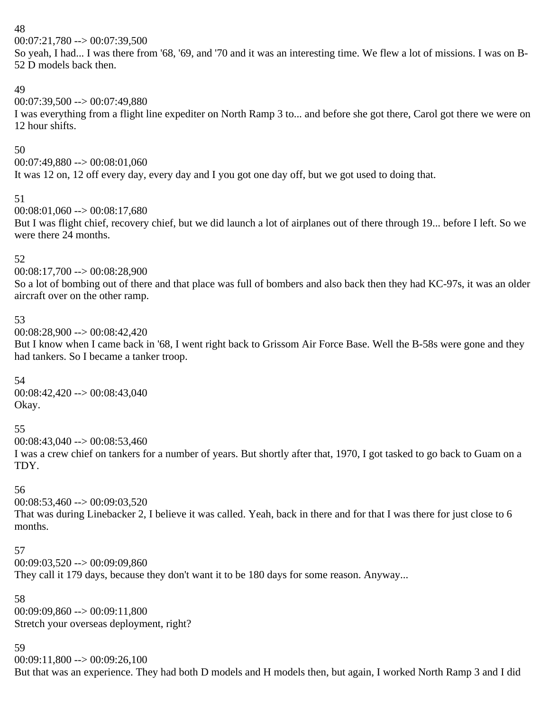00:07:21,780 --> 00:07:39,500

So yeah, I had... I was there from '68, '69, and '70 and it was an interesting time. We flew a lot of missions. I was on B-52 D models back then.

# 49

00:07:39,500 --> 00:07:49,880

I was everything from a flight line expediter on North Ramp 3 to... and before she got there, Carol got there we were on 12 hour shifts.

# 50

00:07:49,880 --> 00:08:01,060

It was 12 on, 12 off every day, every day and I you got one day off, but we got used to doing that.

#### 51

00:08:01,060 --> 00:08:17,680

But I was flight chief, recovery chief, but we did launch a lot of airplanes out of there through 19... before I left. So we were there 24 months.

# 52

00:08:17,700 --> 00:08:28,900

So a lot of bombing out of there and that place was full of bombers and also back then they had KC-97s, it was an older aircraft over on the other ramp.

#### 53

 $00:08:28,900 \rightarrow 00:08:42,420$ 

But I know when I came back in '68, I went right back to Grissom Air Force Base. Well the B-58s were gone and they had tankers. So I became a tanker troop.

# 54

00:08:42,420 --> 00:08:43,040 Okay.

# 55

 $00:08:43,040 \rightarrow 00:08:53,460$ 

I was a crew chief on tankers for a number of years. But shortly after that, 1970, I got tasked to go back to Guam on a TDY.

# 56

 $00:08:53,460 \rightarrow 00:09:03,520$ 

That was during Linebacker 2, I believe it was called. Yeah, back in there and for that I was there for just close to 6 months.

# 57

00:09:03,520 --> 00:09:09,860

They call it 179 days, because they don't want it to be 180 days for some reason. Anyway...

58 00:09:09,860 --> 00:09:11,800 Stretch your overseas deployment, right?

# 59

 $00:09:11,800 \rightarrow 00:09:26,100$ 

But that was an experience. They had both D models and H models then, but again, I worked North Ramp 3 and I did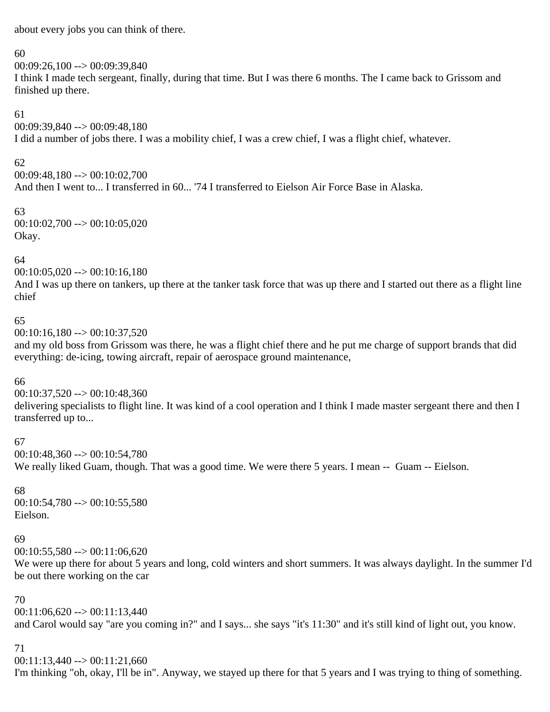about every jobs you can think of there.

#### 60

00:09:26,100 --> 00:09:39,840

I think I made tech sergeant, finally, during that time. But I was there 6 months. The I came back to Grissom and finished up there.

# 61

00:09:39,840 --> 00:09:48,180

I did a number of jobs there. I was a mobility chief, I was a crew chief, I was a flight chief, whatever.

# 62

00:09:48,180 --> 00:10:02,700 And then I went to... I transferred in 60... '74 I transferred to Eielson Air Force Base in Alaska.

# 63

 $00:10:02,700 \rightarrow 00:10:05,020$ Okay.

# 64

 $00:10:05,020 \rightarrow 00:10:16,180$ 

And I was up there on tankers, up there at the tanker task force that was up there and I started out there as a flight line chief

# 65

 $00:10:16,180 \rightarrow 00:10:37,520$ 

and my old boss from Grissom was there, he was a flight chief there and he put me charge of support brands that did everything: de-icing, towing aircraft, repair of aerospace ground maintenance,

# 66

00:10:37,520 --> 00:10:48,360

delivering specialists to flight line. It was kind of a cool operation and I think I made master sergeant there and then I transferred up to...

# 67

00:10:48,360 --> 00:10:54,780 We really liked Guam, though. That was a good time. We were there 5 years. I mean -- Guam -- Eielson.

# 68

 $00:10:54,780 \rightarrow 00:10:55,580$ Eielson.

# 69

 $00:10:55,580 \rightarrow 00:11:06,620$ 

We were up there for about 5 years and long, cold winters and short summers. It was always daylight. In the summer I'd be out there working on the car

# 70

 $00:11:06.620 \rightarrow 00:11:13.440$ and Carol would say "are you coming in?" and I says... she says "it's 11:30" and it's still kind of light out, you know.

# 71

 $00:11:13,440 \rightarrow 00:11:21,660$ 

I'm thinking "oh, okay, I'll be in". Anyway, we stayed up there for that 5 years and I was trying to thing of something.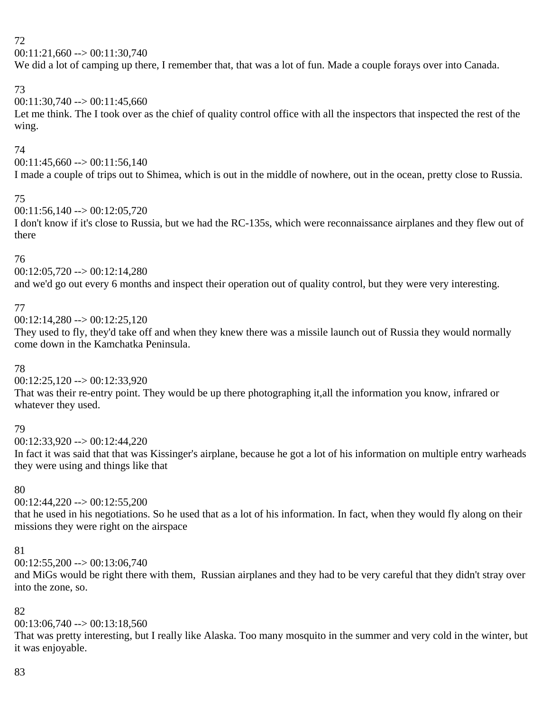$00:11:21,660 \rightarrow 00:11:30,740$ 

We did a lot of camping up there, I remember that, that was a lot of fun. Made a couple forays over into Canada.

# 73

 $00:11:30,740 \rightarrow 00:11:45,660$ 

Let me think. The I took over as the chief of quality control office with all the inspectors that inspected the rest of the wing.

# 74

 $00:11:45,660 \rightarrow 00:11:56,140$ I made a couple of trips out to Shimea, which is out in the middle of nowhere, out in the ocean, pretty close to Russia.

# 75

00:11:56,140 --> 00:12:05,720

I don't know if it's close to Russia, but we had the RC-135s, which were reconnaissance airplanes and they flew out of there

# 76

 $00:12:05,720 \rightarrow 00:12:14,280$ 

and we'd go out every 6 months and inspect their operation out of quality control, but they were very interesting.

# 77

 $00:12:14,280 \rightarrow 00:12:25,120$ 

They used to fly, they'd take off and when they knew there was a missile launch out of Russia they would normally come down in the Kamchatka Peninsula.

# 78

00:12:25,120 --> 00:12:33,920

That was their re-entry point. They would be up there photographing it,all the information you know, infrared or whatever they used.

# 79

 $00:12:33.920 \rightarrow 00:12:44.220$ 

In fact it was said that that was Kissinger's airplane, because he got a lot of his information on multiple entry warheads they were using and things like that

# 80

 $00:12:44,220 \rightarrow 00:12:55,200$ 

that he used in his negotiations. So he used that as a lot of his information. In fact, when they would fly along on their missions they were right on the airspace

# 81

 $00:12:55,200 \rightarrow 00:13:06,740$ 

and MiGs would be right there with them, Russian airplanes and they had to be very careful that they didn't stray over into the zone, so.

# 82

 $00:13:06,740 \rightarrow 00:13:18,560$ 

That was pretty interesting, but I really like Alaska. Too many mosquito in the summer and very cold in the winter, but it was enjoyable.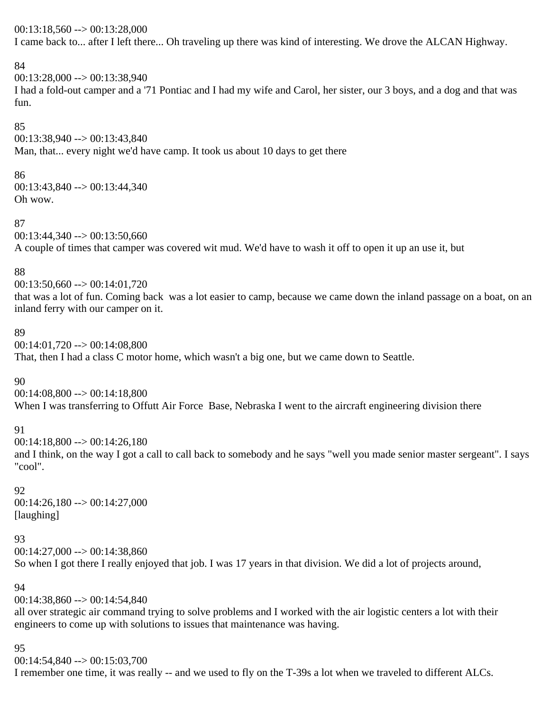$00:13:18,560 \rightarrow 00:13:28,000$ 

I came back to... after I left there... Oh traveling up there was kind of interesting. We drove the ALCAN Highway.

# 84

00:13:28,000 --> 00:13:38,940

I had a fold-out camper and a '71 Pontiac and I had my wife and Carol, her sister, our 3 boys, and a dog and that was fun.

85

00:13:38,940 --> 00:13:43,840

Man, that... every night we'd have camp. It took us about 10 days to get there

# 86

00:13:43,840 --> 00:13:44,340 Oh wow.

# 87

 $00:13:44,340 \rightarrow 00:13:50,660$ A couple of times that camper was covered wit mud. We'd have to wash it off to open it up an use it, but

# 88

 $00:13:50.660 \rightarrow 00:14:01.720$ that was a lot of fun. Coming back was a lot easier to camp, because we came down the inland passage on a boat, on an inland ferry with our camper on it.

# 89

00:14:01,720 --> 00:14:08,800

That, then I had a class C motor home, which wasn't a big one, but we came down to Seattle.

# 90

00:14:08,800 --> 00:14:18,800 When I was transferring to Offutt Air Force Base, Nebraska I went to the aircraft engineering division there

# 91

 $00:14:18,800 \rightarrow 00:14:26,180$ 

and I think, on the way I got a call to call back to somebody and he says "well you made senior master sergeant". I says "cool".

# 92

 $00:14:26,180 \rightarrow 00:14:27,000$ [laughing]

# 93

 $00:14:27,000 \rightarrow 00:14:38,860$ 

So when I got there I really enjoyed that job. I was 17 years in that division. We did a lot of projects around,

# 94

00:14:38,860 --> 00:14:54,840

all over strategic air command trying to solve problems and I worked with the air logistic centers a lot with their engineers to come up with solutions to issues that maintenance was having.

# 95

00:14:54,840 --> 00:15:03,700

I remember one time, it was really -- and we used to fly on the T-39s a lot when we traveled to different ALCs.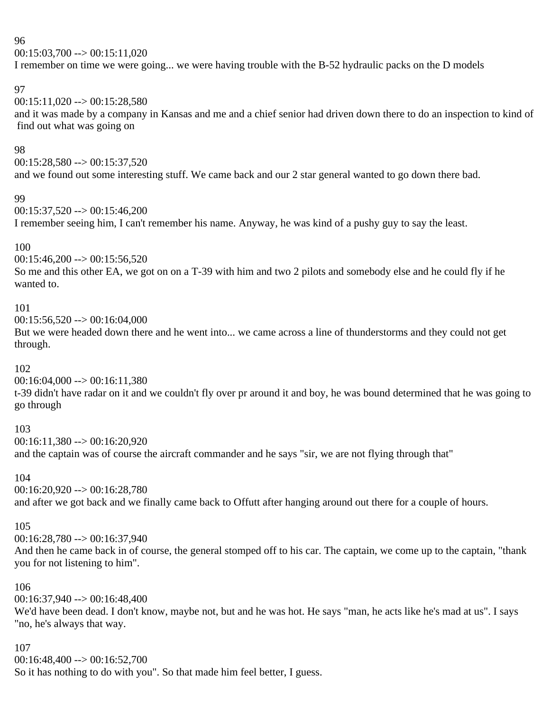$00:15:03,700 \rightarrow 00:15:11,020$ 

I remember on time we were going... we were having trouble with the B-52 hydraulic packs on the D models

# 97

 $00:15:11.020 \rightarrow 00:15:28.580$ 

and it was made by a company in Kansas and me and a chief senior had driven down there to do an inspection to kind of find out what was going on

# 98

 $00:15:28,580 \rightarrow 00:15:37,520$ and we found out some interesting stuff. We came back and our 2 star general wanted to go down there bad.

# 99

 $00:15:37.520 \rightarrow 00:15:46.200$ 

I remember seeing him, I can't remember his name. Anyway, he was kind of a pushy guy to say the least.

# 100

 $00:15:46,200 \rightarrow 00:15:56,520$ 

So me and this other EA, we got on on a T-39 with him and two 2 pilots and somebody else and he could fly if he wanted to.

# 101

 $00:15:56,520 \rightarrow 00:16:04,000$ 

But we were headed down there and he went into... we came across a line of thunderstorms and they could not get through.

# 102

 $00:16:04,000 \rightarrow 00:16:11,380$ 

t-39 didn't have radar on it and we couldn't fly over pr around it and boy, he was bound determined that he was going to go through

# 103

00:16:11,380 --> 00:16:20,920 and the captain was of course the aircraft commander and he says "sir, we are not flying through that"

# 104

00:16:20,920 --> 00:16:28,780

and after we got back and we finally came back to Offutt after hanging around out there for a couple of hours.

# 105

00:16:28,780 --> 00:16:37,940

And then he came back in of course, the general stomped off to his car. The captain, we come up to the captain, "thank you for not listening to him".

# 106

00:16:37,940 --> 00:16:48,400

We'd have been dead. I don't know, maybe not, but and he was hot. He says "man, he acts like he's mad at us". I says "no, he's always that way.

# 107

00:16:48,400 --> 00:16:52,700

So it has nothing to do with you". So that made him feel better, I guess.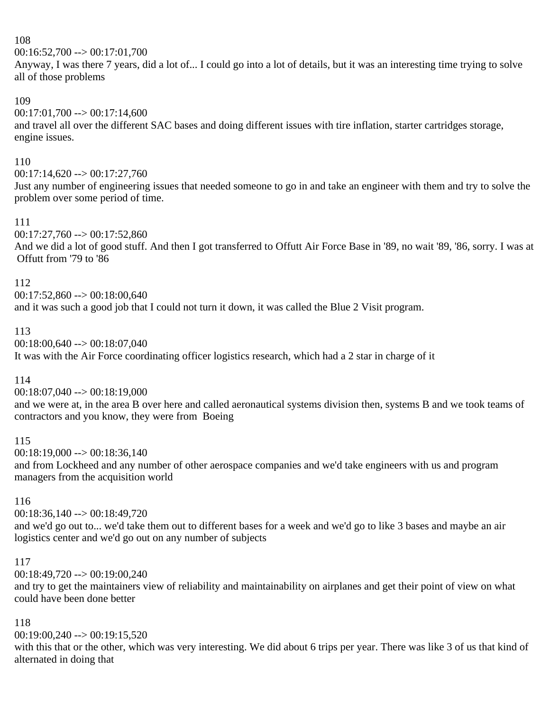00:16:52,700 --> 00:17:01,700

Anyway, I was there 7 years, did a lot of... I could go into a lot of details, but it was an interesting time trying to solve all of those problems

# 109

 $00:17:01,700 \rightarrow 00:17:14,600$ and travel all over the different SAC bases and doing different issues with tire inflation, starter cartridges storage, engine issues.

# 110

 $00:17:14,620 \rightarrow 00:17:27,760$ 

Just any number of engineering issues that needed someone to go in and take an engineer with them and try to solve the problem over some period of time.

# 111

 $00:17:27.760 \rightarrow 00:17:52.860$ And we did a lot of good stuff. And then I got transferred to Offutt Air Force Base in '89, no wait '89, '86, sorry. I was at Offutt from '79 to '86

#### 112

 $00:17:52,860 \rightarrow 00:18:00,640$ and it was such a good job that I could not turn it down, it was called the Blue 2 Visit program.

# 113

00:18:00,640 --> 00:18:07,040

It was with the Air Force coordinating officer logistics research, which had a 2 star in charge of it

# 114

00:18:07,040 --> 00:18:19,000

and we were at, in the area B over here and called aeronautical systems division then, systems B and we took teams of contractors and you know, they were from Boeing

# 115

 $00:18:19,000 \rightarrow 00:18:36,140$ and from Lockheed and any number of other aerospace companies and we'd take engineers with us and program managers from the acquisition world

# 116

00:18:36,140 --> 00:18:49,720

and we'd go out to... we'd take them out to different bases for a week and we'd go to like 3 bases and maybe an air logistics center and we'd go out on any number of subjects

# 117

00:18:49,720 --> 00:19:00,240

and try to get the maintainers view of reliability and maintainability on airplanes and get their point of view on what could have been done better

# 118

00:19:00,240 --> 00:19:15,520

with this that or the other, which was very interesting. We did about 6 trips per year. There was like 3 of us that kind of alternated in doing that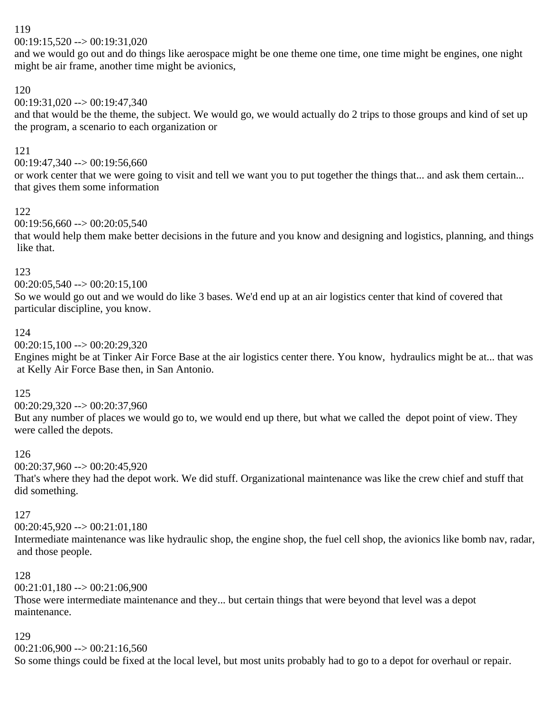$00:19:15,520 \rightarrow 00:19:31,020$ 

and we would go out and do things like aerospace might be one theme one time, one time might be engines, one night might be air frame, another time might be avionics,

#### 120

 $00:19:31,020 \rightarrow 00:19:47,340$ 

and that would be the theme, the subject. We would go, we would actually do 2 trips to those groups and kind of set up the program, a scenario to each organization or

#### 121

00:19:47,340 --> 00:19:56,660

or work center that we were going to visit and tell we want you to put together the things that... and ask them certain... that gives them some information

#### 122

 $00:19:56,660 \rightarrow 00:20:05.540$ 

that would help them make better decisions in the future and you know and designing and logistics, planning, and things like that.

#### 123

 $00:20:05,540 \rightarrow 00:20:15,100$ 

So we would go out and we would do like 3 bases. We'd end up at an air logistics center that kind of covered that particular discipline, you know.

#### 124

00:20:15,100 --> 00:20:29,320

Engines might be at Tinker Air Force Base at the air logistics center there. You know, hydraulics might be at... that was at Kelly Air Force Base then, in San Antonio.

#### 125

00:20:29,320 --> 00:20:37,960

But any number of places we would go to, we would end up there, but what we called the depot point of view. They were called the depots.

#### 126

00:20:37,960 --> 00:20:45,920

That's where they had the depot work. We did stuff. Organizational maintenance was like the crew chief and stuff that did something.

#### 127

00:20:45,920 --> 00:21:01,180

Intermediate maintenance was like hydraulic shop, the engine shop, the fuel cell shop, the avionics like bomb nav, radar, and those people.

#### 128

00:21:01,180 --> 00:21:06,900

Those were intermediate maintenance and they... but certain things that were beyond that level was a depot maintenance.

#### 129

 $00:21:06,900 \rightarrow 00:21:16,560$ 

So some things could be fixed at the local level, but most units probably had to go to a depot for overhaul or repair.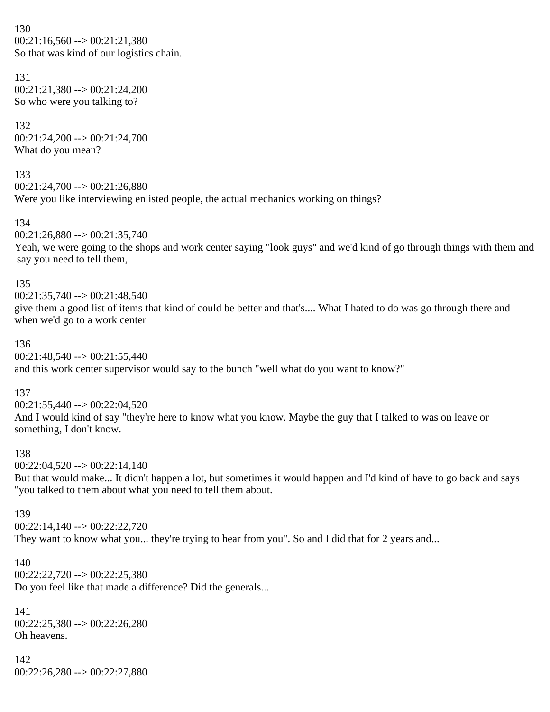130  $00:21:16,560 \rightarrow 00:21:21,380$ So that was kind of our logistics chain.

131 00:21:21,380 --> 00:21:24,200 So who were you talking to?

132 00:21:24,200 --> 00:21:24,700 What do you mean?

133 00:21:24,700 --> 00:21:26,880 Were you like interviewing enlisted people, the actual mechanics working on things?

134  $00:21:26.880 \rightarrow 00:21:35.740$ 

Yeah, we were going to the shops and work center saying "look guys" and we'd kind of go through things with them and say you need to tell them,

135

00:21:35,740 --> 00:21:48,540 give them a good list of items that kind of could be better and that's.... What I hated to do was go through there and when we'd go to a work center

136

 $00:21:48,540 \rightarrow 00:21:55,440$ and this work center supervisor would say to the bunch "well what do you want to know?"

137

 $00:21:55,440 \rightarrow 00:22:04,520$ And I would kind of say "they're here to know what you know. Maybe the guy that I talked to was on leave or something, I don't know.

138

 $00:22:04,520 \rightarrow 00:22:14,140$ 

But that would make... It didn't happen a lot, but sometimes it would happen and I'd kind of have to go back and says "you talked to them about what you need to tell them about.

139

00:22:14,140 --> 00:22:22,720 They want to know what you... they're trying to hear from you". So and I did that for 2 years and...

140

 $00:22:22,720 \rightarrow 00:22:25,380$ Do you feel like that made a difference? Did the generals...

141 00:22:25,380 --> 00:22:26,280 Oh heavens.

142 00:22:26,280 --> 00:22:27,880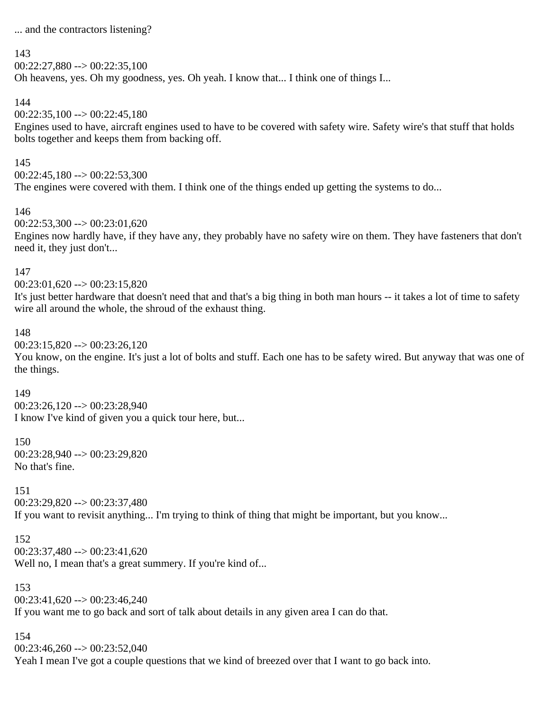... and the contractors listening?

#### 143

 $00:22:27.880 \rightarrow 00:22:35.100$ Oh heavens, yes. Oh my goodness, yes. Oh yeah. I know that... I think one of things I...

# 144

 $00:22:35,100 \rightarrow 00:22:45,180$ 

Engines used to have, aircraft engines used to have to be covered with safety wire. Safety wire's that stuff that holds bolts together and keeps them from backing off.

#### 145

 $00:22:45.180 \rightarrow 00:22:53.300$ The engines were covered with them. I think one of the things ended up getting the systems to do...

#### 146

 $00:22:53.300 \rightarrow 00:23:01.620$ 

Engines now hardly have, if they have any, they probably have no safety wire on them. They have fasteners that don't need it, they just don't...

#### 147

 $00:23:01,620 \rightarrow 00:23:15,820$ 

It's just better hardware that doesn't need that and that's a big thing in both man hours -- it takes a lot of time to safety wire all around the whole, the shroud of the exhaust thing.

#### 148

 $00:23:15,820 \rightarrow 00:23:26,120$ 

You know, on the engine. It's just a lot of bolts and stuff. Each one has to be safety wired. But anyway that was one of the things.

# 149

 $00:23:26,120 \rightarrow 00:23:28,940$ I know I've kind of given you a quick tour here, but...

# 150

00:23:28,940 --> 00:23:29,820 No that's fine.

# 151

00:23:29,820 --> 00:23:37,480 If you want to revisit anything... I'm trying to think of thing that might be important, but you know...

# 152

 $00:23:37,480 \rightarrow 00:23:41,620$ Well no, I mean that's a great summery. If you're kind of...

# 153

 $00:23:41.620 \rightarrow 00:23:46.240$ If you want me to go back and sort of talk about details in any given area I can do that.

#### 154

00:23:46,260 --> 00:23:52,040

Yeah I mean I've got a couple questions that we kind of breezed over that I want to go back into.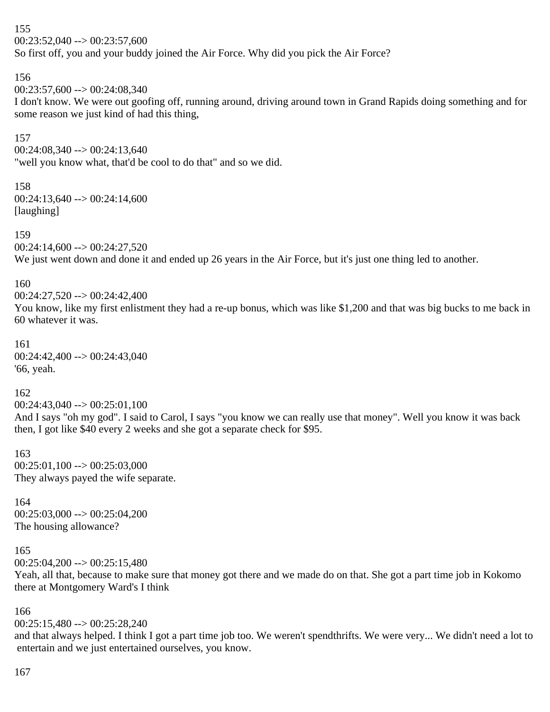155  $00:23:52.040 \rightarrow 00:23:57.600$ 

So first off, you and your buddy joined the Air Force. Why did you pick the Air Force?

156

00:23:57,600 --> 00:24:08,340

I don't know. We were out goofing off, running around, driving around town in Grand Rapids doing something and for some reason we just kind of had this thing,

157

 $00:24:08,340 \rightarrow 00:24:13,640$ 

"well you know what, that'd be cool to do that" and so we did.

# 158

 $00:24:13,640 \rightarrow 00:24:14,600$ [laughing]

159

 $00:24:14,600 \rightarrow 00:24:27,520$ 

We just went down and done it and ended up 26 years in the Air Force, but it's just one thing led to another.

#### 160

00:24:27,520 --> 00:24:42,400

You know, like my first enlistment they had a re-up bonus, which was like \$1,200 and that was big bucks to me back in 60 whatever it was.

161 00:24:42,400 --> 00:24:43,040 '66, yeah.

# 162

 $00:24:43,040 \rightarrow 00:25:01,100$ 

And I says "oh my god". I said to Carol, I says "you know we can really use that money". Well you know it was back then, I got like \$40 every 2 weeks and she got a separate check for \$95.

163  $00:25:01,100 \rightarrow 00:25:03,000$ They always payed the wife separate.

164  $00:25:03,000 \rightarrow 00:25:04,200$ The housing allowance?

# 165

 $00:25:04,200 \rightarrow 00:25:15,480$ 

Yeah, all that, because to make sure that money got there and we made do on that. She got a part time job in Kokomo there at Montgomery Ward's I think

166

 $00:25:15,480 \rightarrow 00:25:28,240$ 

and that always helped. I think I got a part time job too. We weren't spendthrifts. We were very... We didn't need a lot to entertain and we just entertained ourselves, you know.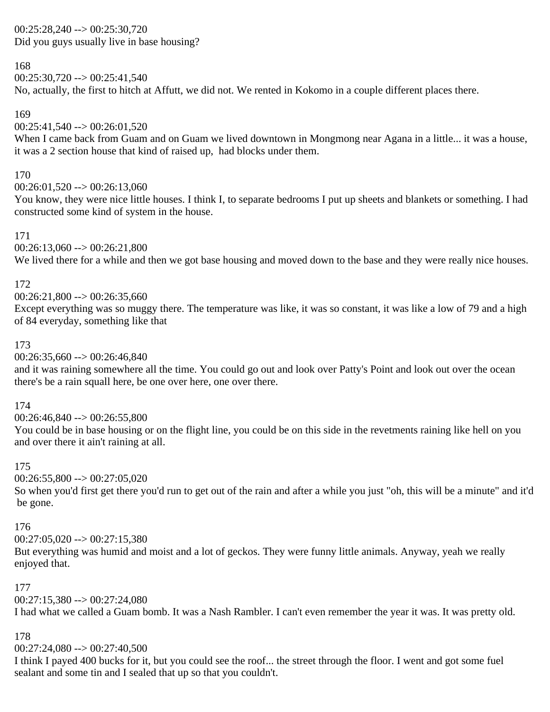#### 00:25:28,240 --> 00:25:30,720 Did you guys usually live in base housing?

# 168

 $00:25:30,720 \rightarrow 00:25:41,540$ 

No, actually, the first to hitch at Affutt, we did not. We rented in Kokomo in a couple different places there.

# 169

 $00:25:41,540 \rightarrow 00:26:01,520$ 

When I came back from Guam and on Guam we lived downtown in Mongmong near Agana in a little... it was a house, it was a 2 section house that kind of raised up, had blocks under them.

# 170

 $00:26:01,520 \rightarrow 00:26:13,060$ 

You know, they were nice little houses. I think I, to separate bedrooms I put up sheets and blankets or something. I had constructed some kind of system in the house.

# 171

 $00:26:13,060 \rightarrow 00:26:21,800$ 

We lived there for a while and then we got base housing and moved down to the base and they were really nice houses.

# 172

 $00:26:21,800 \rightarrow 00:26:35,660$ 

Except everything was so muggy there. The temperature was like, it was so constant, it was like a low of 79 and a high of 84 everyday, something like that

# 173

 $00:26:35,660 \rightarrow 00:26:46,840$ 

and it was raining somewhere all the time. You could go out and look over Patty's Point and look out over the ocean there's be a rain squall here, be one over here, one over there.

# 174

 $00:26:46.840 \rightarrow 00:26:55.800$ 

You could be in base housing or on the flight line, you could be on this side in the revetments raining like hell on you and over there it ain't raining at all.

# 175

 $00:26:55,800 \rightarrow 00:27:05,020$ 

So when you'd first get there you'd run to get out of the rain and after a while you just "oh, this will be a minute" and it'd be gone.

# 176

 $00:27:05,020 \rightarrow 00:27:15,380$ 

But everything was humid and moist and a lot of geckos. They were funny little animals. Anyway, yeah we really enjoyed that.

# 177

 $00:27:15,380 \rightarrow 00:27:24,080$ 

I had what we called a Guam bomb. It was a Nash Rambler. I can't even remember the year it was. It was pretty old.

# 178

 $00:27:24,080 \rightarrow 00:27:40,500$ 

I think I payed 400 bucks for it, but you could see the roof... the street through the floor. I went and got some fuel sealant and some tin and I sealed that up so that you couldn't.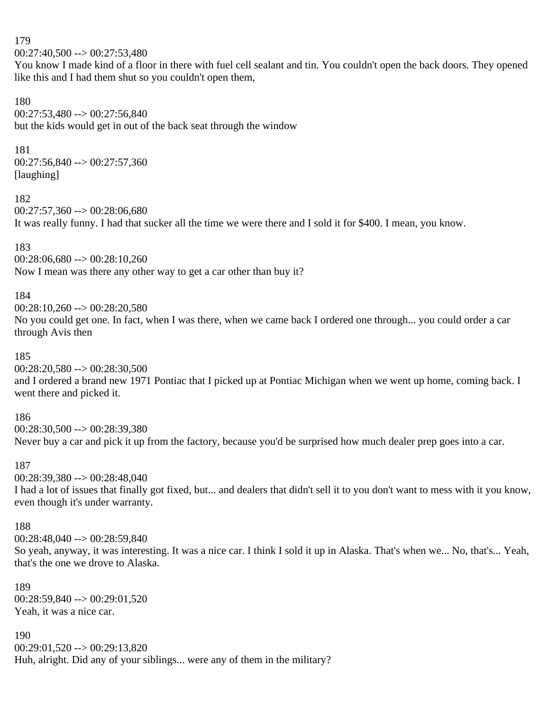179  $00:27:40,500 \rightarrow 00:27:53,480$ 

You know I made kind of a floor in there with fuel cell sealant and tin. You couldn't open the back doors. They opened like this and I had them shut so you couldn't open them,

180  $00:27:53,480 \rightarrow 00:27:56,840$ but the kids would get in out of the back seat through the window

#### 181

00:27:56,840 --> 00:27:57,360 [laughing]

182

 $00:27:57,360 \rightarrow 00:28:06,680$ It was really funny. I had that sucker all the time we were there and I sold it for \$400. I mean, you know.

# 183

00:28:06,680 --> 00:28:10,260 Now I mean was there any other way to get a car other than buy it?

# 184

 $00:28:10.260 \rightarrow 00:28:20.580$ 

No you could get one. In fact, when I was there, when we came back I ordered one through... you could order a car through Avis then

# 185

00:28:20,580 --> 00:28:30,500 and I ordered a brand new 1971 Pontiac that I picked up at Pontiac Michigan when we went up home, coming back. I went there and picked it.

# 186

00:28:30,500 --> 00:28:39,380

Never buy a car and pick it up from the factory, because you'd be surprised how much dealer prep goes into a car.

# 187

00:28:39,380 --> 00:28:48,040

I had a lot of issues that finally got fixed, but... and dealers that didn't sell it to you don't want to mess with it you know, even though it's under warranty.

# 188

00:28:48,040 --> 00:28:59,840

So yeah, anyway, it was interesting. It was a nice car. I think I sold it up in Alaska. That's when we... No, that's... Yeah, that's the one we drove to Alaska.

# 189

00:28:59,840 --> 00:29:01,520 Yeah, it was a nice car.

#### 190

 $00:29:01,520 \rightarrow 00:29:13,820$ Huh, alright. Did any of your siblings... were any of them in the military?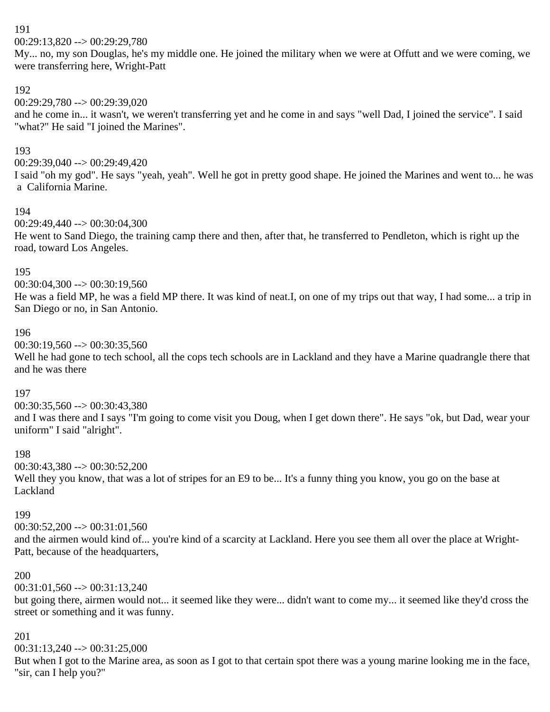00:29:13,820 --> 00:29:29,780

My... no, my son Douglas, he's my middle one. He joined the military when we were at Offutt and we were coming, we were transferring here, Wright-Patt

#### 192

 $00:29:29,780 \rightarrow 00:29:39,020$ and he come in... it wasn't, we weren't transferring yet and he come in and says "well Dad, I joined the service". I said "what?" He said "I joined the Marines".

#### 193

00:29:39,040 --> 00:29:49,420

I said "oh my god". He says "yeah, yeah". Well he got in pretty good shape. He joined the Marines and went to... he was a California Marine.

#### 194

00:29:49,440 --> 00:30:04,300

He went to Sand Diego, the training camp there and then, after that, he transferred to Pendleton, which is right up the road, toward Los Angeles.

#### 195

 $00:30:04,300 \rightarrow 00:30:19,560$ 

He was a field MP, he was a field MP there. It was kind of neat.I, on one of my trips out that way, I had some... a trip in San Diego or no, in San Antonio.

#### 196

 $00:30:19,560 \rightarrow 00:30:35,560$ 

Well he had gone to tech school, all the cops tech schools are in Lackland and they have a Marine quadrangle there that and he was there

#### 197

00:30:35,560 --> 00:30:43,380

and I was there and I says "I'm going to come visit you Doug, when I get down there". He says "ok, but Dad, wear your uniform" I said "alright".

#### 198

00:30:43,380 --> 00:30:52,200 Well they you know, that was a lot of stripes for an E9 to be... It's a funny thing you know, you go on the base at Lackland

#### 199

 $00:30:52,200 \rightarrow 00:31:01,560$ 

and the airmen would kind of... you're kind of a scarcity at Lackland. Here you see them all over the place at Wright-Patt, because of the headquarters,

#### 200

 $00:31:01,560 \rightarrow 00:31:13,240$ 

but going there, airmen would not... it seemed like they were... didn't want to come my... it seemed like they'd cross the street or something and it was funny.

#### 201

00:31:13,240 --> 00:31:25,000

But when I got to the Marine area, as soon as I got to that certain spot there was a young marine looking me in the face, "sir, can I help you?"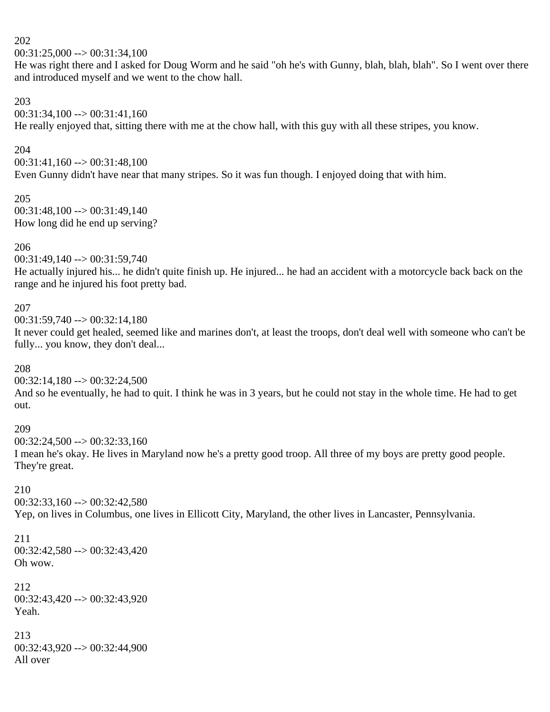$00:31:25,000 \rightarrow 00:31:34,100$ 

He was right there and I asked for Doug Worm and he said "oh he's with Gunny, blah, blah, blah". So I went over there and introduced myself and we went to the chow hall.

#### 203

 $00:31:34,100 \rightarrow 00:31:41,160$ 

He really enjoyed that, sitting there with me at the chow hall, with this guy with all these stripes, you know.

#### 204

 $00:31:41,160 \rightarrow 00:31:48,100$ Even Gunny didn't have near that many stripes. So it was fun though. I enjoyed doing that with him.

#### 205

00:31:48,100 --> 00:31:49,140 How long did he end up serving?

# 206

00:31:49,140 --> 00:31:59,740

He actually injured his... he didn't quite finish up. He injured... he had an accident with a motorcycle back back on the range and he injured his foot pretty bad.

# 207

 $00:31:59,740 \rightarrow 00:32:14,180$ 

It never could get healed, seemed like and marines don't, at least the troops, don't deal well with someone who can't be fully... you know, they don't deal...

# 208

 $00:32:14,180 \rightarrow 00:32:24,500$ 

And so he eventually, he had to quit. I think he was in 3 years, but he could not stay in the whole time. He had to get out.

# 209

 $00:32:24.500 \rightarrow 00:32:33.160$ I mean he's okay. He lives in Maryland now he's a pretty good troop. All three of my boys are pretty good people. They're great.

# 210

 $00:32:33,160 \rightarrow 00:32:42.580$ Yep, on lives in Columbus, one lives in Ellicott City, Maryland, the other lives in Lancaster, Pennsylvania.

# 211 00:32:42,580 --> 00:32:43,420 Oh wow.

212 00:32:43,420 --> 00:32:43,920 Yeah.

213 00:32:43,920 --> 00:32:44,900 All over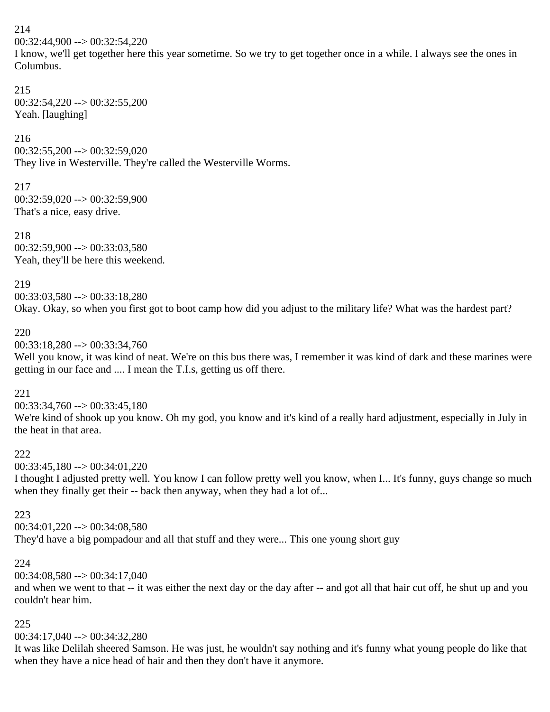00:32:44,900 --> 00:32:54,220

I know, we'll get together here this year sometime. So we try to get together once in a while. I always see the ones in Columbus.

# 215

 $00:32:54,220 \rightarrow 00:32:55,200$ Yeah. [laughing]

#### 216

 $00:32:55,200 \rightarrow 00:32:59,020$ They live in Westerville. They're called the Westerville Worms.

217 00:32:59,020 --> 00:32:59,900 That's a nice, easy drive.

218  $00:32:59,900 \rightarrow 00:33:03,580$ Yeah, they'll be here this weekend.

#### 219

 $00:33:03.580 \rightarrow 00:33:18.280$ 

Okay. Okay, so when you first got to boot camp how did you adjust to the military life? What was the hardest part?

#### 220

00:33:18,280 --> 00:33:34,760

Well you know, it was kind of neat. We're on this bus there was, I remember it was kind of dark and these marines were getting in our face and .... I mean the T.I.s, getting us off there.

# 221

00:33:34,760 --> 00:33:45,180 We're kind of shook up you know. Oh my god, you know and it's kind of a really hard adjustment, especially in July in the heat in that area.

# 222

 $00:33:45.180 \rightarrow 00:34:01.220$ 

I thought I adjusted pretty well. You know I can follow pretty well you know, when I... It's funny, guys change so much when they finally get their -- back then anyway, when they had a lot of...

# 223

 $00:34:01,220 \rightarrow 00:34:08,580$ 

They'd have a big pompadour and all that stuff and they were... This one young short guy

# 224

00:34:08,580 --> 00:34:17,040

and when we went to that -- it was either the next day or the day after -- and got all that hair cut off, he shut up and you couldn't hear him.

# 225

00:34:17,040 --> 00:34:32,280

It was like Delilah sheered Samson. He was just, he wouldn't say nothing and it's funny what young people do like that when they have a nice head of hair and then they don't have it anymore.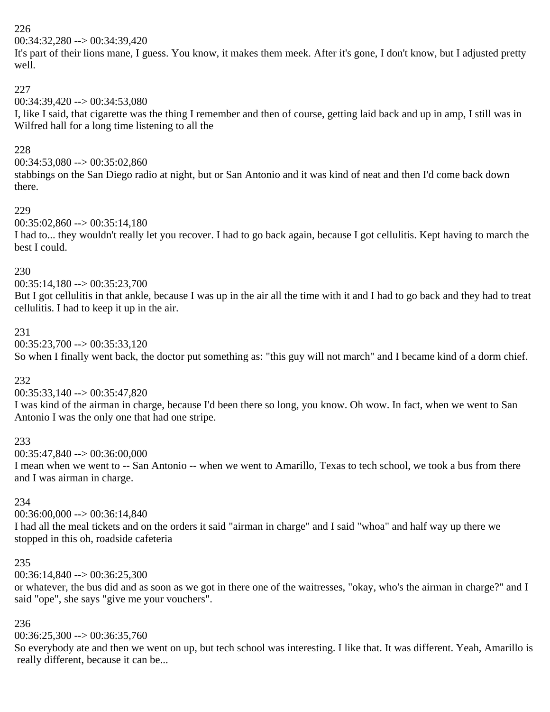00:34:32,280 --> 00:34:39,420

It's part of their lions mane, I guess. You know, it makes them meek. After it's gone, I don't know, but I adjusted pretty well.

# 227

# 00:34:39,420 --> 00:34:53,080

I, like I said, that cigarette was the thing I remember and then of course, getting laid back and up in amp, I still was in Wilfred hall for a long time listening to all the

# 228

 $00:34:53,080 \rightarrow 00:35:02,860$ 

stabbings on the San Diego radio at night, but or San Antonio and it was kind of neat and then I'd come back down there.

#### 229

 $00:35:02,860 \rightarrow 00:35:14,180$ 

I had to... they wouldn't really let you recover. I had to go back again, because I got cellulitis. Kept having to march the best I could.

#### 230

 $00:35:14,180 \rightarrow 00:35:23,700$ 

But I got cellulitis in that ankle, because I was up in the air all the time with it and I had to go back and they had to treat cellulitis. I had to keep it up in the air.

#### 231

00:35:23,700 --> 00:35:33,120

So when I finally went back, the doctor put something as: "this guy will not march" and I became kind of a dorm chief.

# 232

00:35:33,140 --> 00:35:47,820

I was kind of the airman in charge, because I'd been there so long, you know. Oh wow. In fact, when we went to San Antonio I was the only one that had one stripe.

# 233

00:35:47,840 --> 00:36:00,000

I mean when we went to -- San Antonio -- when we went to Amarillo, Texas to tech school, we took a bus from there and I was airman in charge.

# 234

00:36:00,000 --> 00:36:14,840

I had all the meal tickets and on the orders it said "airman in charge" and I said "whoa" and half way up there we stopped in this oh, roadside cafeteria

#### 235

00:36:14,840 --> 00:36:25,300

or whatever, the bus did and as soon as we got in there one of the waitresses, "okay, who's the airman in charge?" and I said "ope", she says "give me your vouchers".

# 236

 $00:36:25.300 \rightarrow 00:36:35.760$ 

So everybody ate and then we went on up, but tech school was interesting. I like that. It was different. Yeah, Amarillo is really different, because it can be...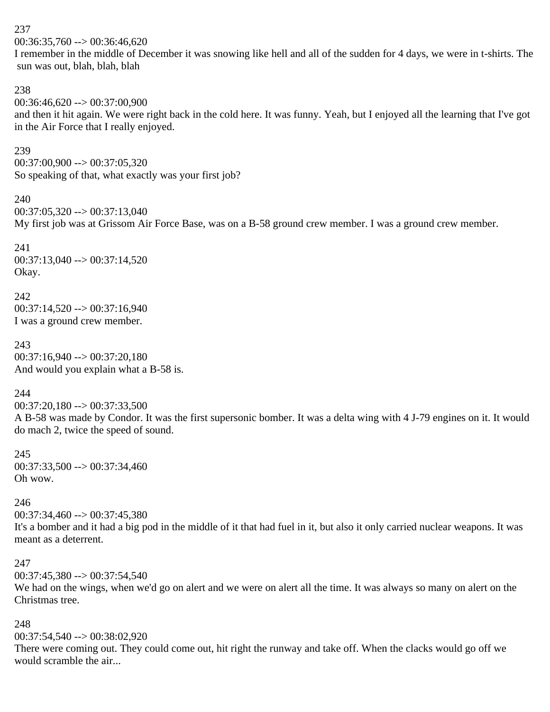$00:36:35,760 \rightarrow 00:36:46,620$ 

I remember in the middle of December it was snowing like hell and all of the sudden for 4 days, we were in t-shirts. The sun was out, blah, blah, blah

#### 238

00:36:46,620 --> 00:37:00,900 and then it hit again. We were right back in the cold here. It was funny. Yeah, but I enjoyed all the learning that I've got in the Air Force that I really enjoyed.

#### 239

00:37:00,900 --> 00:37:05,320 So speaking of that, what exactly was your first job?

#### 240

 $00:37:05.320 \rightarrow 00:37:13.040$ 

My first job was at Grissom Air Force Base, was on a B-58 ground crew member. I was a ground crew member.

241 00:37:13,040 --> 00:37:14,520 Okay.

242  $00:37:14,520 \rightarrow 00:37:16,940$ I was a ground crew member.

243  $00:37:16.940 \rightarrow 00:37:20.180$ And would you explain what a B-58 is.

244

00:37:20,180 --> 00:37:33,500 A B-58 was made by Condor. It was the first supersonic bomber. It was a delta wing with 4 J-79 engines on it. It would do mach 2, twice the speed of sound.

245 00:37:33,500 --> 00:37:34,460 Oh wow.

#### 246

 $00:37:34,460 \rightarrow 00:37:45,380$ 

It's a bomber and it had a big pod in the middle of it that had fuel in it, but also it only carried nuclear weapons. It was meant as a deterrent.

#### 247

 $00:37:45,380 \rightarrow 00:37:54,540$ 

We had on the wings, when we'd go on alert and we were on alert all the time. It was always so many on alert on the Christmas tree.

# 248

00:37:54,540 --> 00:38:02,920

There were coming out. They could come out, hit right the runway and take off. When the clacks would go off we would scramble the air...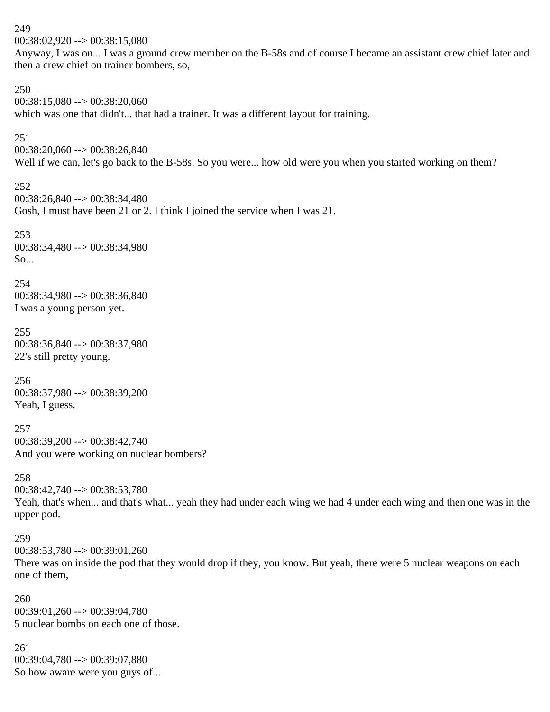00:38:02,920 --> 00:38:15,080 Anyway, I was on... I was a ground crew member on the B-58s and of course I became an assistant crew chief later and then a crew chief on trainer bombers, so, 250  $00:38:15,080 \rightarrow 00:38:20,060$ which was one that didn't... that had a trainer. It was a different layout for training. 251  $00:38:20,060 \rightarrow 00:38:26,840$ Well if we can, let's go back to the B-58s. So you were... how old were you when you started working on them? 252 00:38:26,840 --> 00:38:34,480 Gosh, I must have been 21 or 2. I think I joined the service when I was 21. 253 00:38:34,480 --> 00:38:34,980 So... 254 00:38:34,980 --> 00:38:36,840 I was a young person yet. 255 00:38:36,840 --> 00:38:37,980 22's still pretty young. 256 00:38:37,980 --> 00:38:39,200 Yeah, I guess. 257  $00:38:39.200 \rightarrow 00:38:42.740$ And you were working on nuclear bombers? 258 00:38:42,740 --> 00:38:53,780 Yeah, that's when... and that's what... yeah they had under each wing we had 4 under each wing and then one was in the upper pod. 259 00:38:53,780 --> 00:39:01,260 There was on inside the pod that they would drop if they, you know. But yeah, there were 5 nuclear weapons on each one of them, 260 00:39:01,260 --> 00:39:04,780 5 nuclear bombs on each one of those. 261 00:39:04,780 --> 00:39:07,880 So how aware were you guys of...

249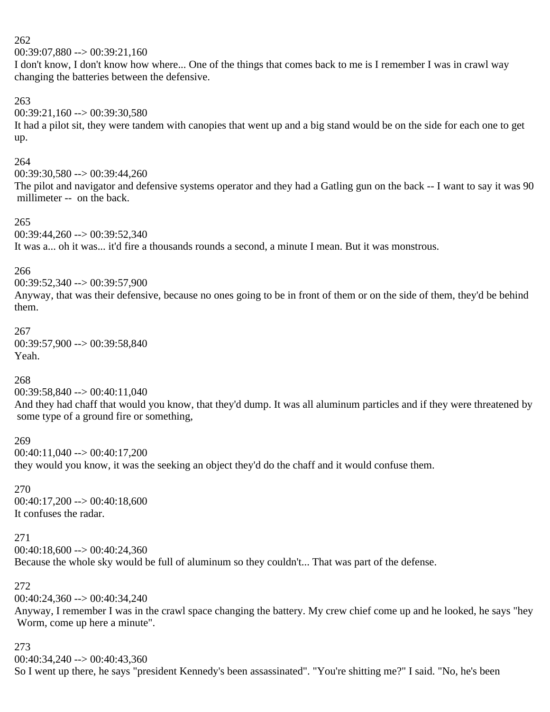$00:39:07.880 \rightarrow 00:39:21.160$ 

I don't know, I don't know how where... One of the things that comes back to me is I remember I was in crawl way changing the batteries between the defensive.

# 263

00:39:21,160 --> 00:39:30,580 It had a pilot sit, they were tandem with canopies that went up and a big stand would be on the side for each one to get up.

# 264

00:39:30,580 --> 00:39:44,260

The pilot and navigator and defensive systems operator and they had a Gatling gun on the back -- I want to say it was 90 millimeter -- on the back.

#### 265

00:39:44,260 --> 00:39:52,340 It was a... oh it was... it'd fire a thousands rounds a second, a minute I mean. But it was monstrous.

#### 266

00:39:52,340 --> 00:39:57,900

Anyway, that was their defensive, because no ones going to be in front of them or on the side of them, they'd be behind them.

# 267

00:39:57,900 --> 00:39:58,840 Yeah.

# 268

00:39:58,840 --> 00:40:11,040

And they had chaff that would you know, that they'd dump. It was all aluminum particles and if they were threatened by some type of a ground fire or something,

# 269

00:40:11,040 --> 00:40:17,200 they would you know, it was the seeking an object they'd do the chaff and it would confuse them.

270  $00:40:17,200 \rightarrow 00:40:18,600$ It confuses the radar.

#### 271

00:40:18,600 --> 00:40:24,360

Because the whole sky would be full of aluminum so they couldn't... That was part of the defense.

# 272

00:40:24,360 --> 00:40:34,240

Anyway, I remember I was in the crawl space changing the battery. My crew chief come up and he looked, he says "hey Worm, come up here a minute".

#### 273

 $00:40:34.240 \rightarrow 00:40:43.360$ So I went up there, he says "president Kennedy's been assassinated". "You're shitting me?" I said. "No, he's been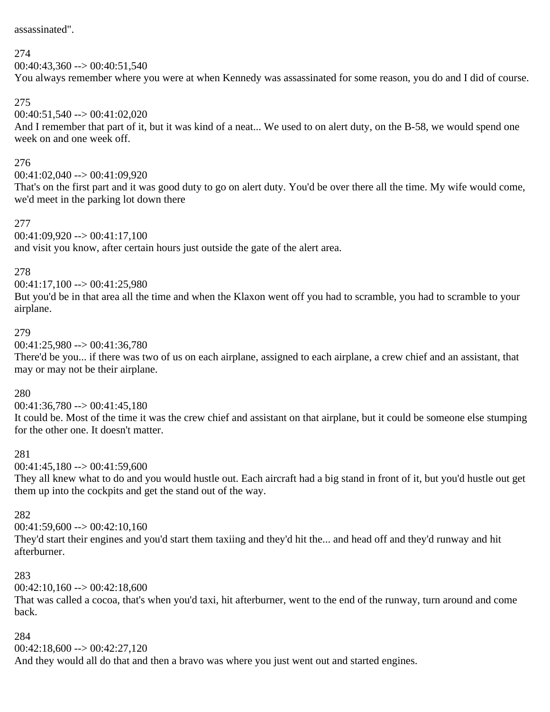assassinated".

#### 274

 $00:40:43.360 \rightarrow 00:40:51.540$ 

You always remember where you were at when Kennedy was assassinated for some reason, you do and I did of course.

# 275

 $00:40:51,540 \rightarrow 00:41:02,020$ 

And I remember that part of it, but it was kind of a neat... We used to on alert duty, on the B-58, we would spend one week on and one week off.

#### 276

 $00:41:02.040 \rightarrow 00:41:09.920$ 

That's on the first part and it was good duty to go on alert duty. You'd be over there all the time. My wife would come, we'd meet in the parking lot down there

#### 277

 $00:41:09,920 \rightarrow 00:41:17,100$ 

and visit you know, after certain hours just outside the gate of the alert area.

#### 278

 $00:41:17,100 \rightarrow 00:41:25.980$ 

But you'd be in that area all the time and when the Klaxon went off you had to scramble, you had to scramble to your airplane.

#### 279

00:41:25,980 --> 00:41:36,780

There'd be you... if there was two of us on each airplane, assigned to each airplane, a crew chief and an assistant, that may or may not be their airplane.

#### 280

 $00:41:36,780 \rightarrow 00:41:45,180$ 

It could be. Most of the time it was the crew chief and assistant on that airplane, but it could be someone else stumping for the other one. It doesn't matter.

# 281

 $00:41:45,180 \rightarrow 00:41:59,600$ 

They all knew what to do and you would hustle out. Each aircraft had a big stand in front of it, but you'd hustle out get them up into the cockpits and get the stand out of the way.

# 282

 $00:41:59,600 \rightarrow 00:42:10,160$ 

They'd start their engines and you'd start them taxiing and they'd hit the... and head off and they'd runway and hit afterburner.

# 283

 $00:42:10,160 \rightarrow 00:42:18,600$ 

That was called a cocoa, that's when you'd taxi, hit afterburner, went to the end of the runway, turn around and come back.

# 284

 $00:42:18,600 \rightarrow 00:42:27,120$ 

And they would all do that and then a bravo was where you just went out and started engines.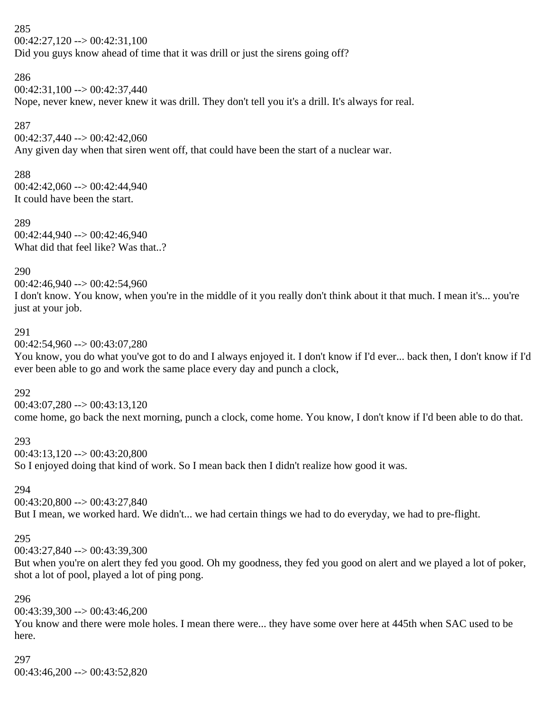285  $00:42:27,120 \rightarrow 00:42:31,100$ Did you guys know ahead of time that it was drill or just the sirens going off?

286  $00:42:31,100 \rightarrow 00:42:37,440$ 

Nope, never knew, never knew it was drill. They don't tell you it's a drill. It's always for real.

287

00:42:37,440 --> 00:42:42,060 Any given day when that siren went off, that could have been the start of a nuclear war.

288

 $00:42:42,060 \rightarrow 00:42:44,940$ It could have been the start.

289 00:42:44,940 --> 00:42:46,940 What did that feel like? Was that..?

290

00:42:46,940 --> 00:42:54,960 I don't know. You know, when you're in the middle of it you really don't think about it that much. I mean it's... you're just at your job.

#### 291

00:42:54,960 --> 00:43:07,280

You know, you do what you've got to do and I always enjoyed it. I don't know if I'd ever... back then, I don't know if I'd ever been able to go and work the same place every day and punch a clock,

292

 $00:43:07,280 \rightarrow 00:43:13,120$ come home, go back the next morning, punch a clock, come home. You know, I don't know if I'd been able to do that.

293

 $00:43:13,120 \rightarrow 00:43:20,800$ So I enjoyed doing that kind of work. So I mean back then I didn't realize how good it was.

294

00:43:20,800 --> 00:43:27,840 But I mean, we worked hard. We didn't... we had certain things we had to do everyday, we had to pre-flight.

# 295

00:43:27,840 --> 00:43:39,300

But when you're on alert they fed you good. Oh my goodness, they fed you good on alert and we played a lot of poker, shot a lot of pool, played a lot of ping pong.

296

 $00:43:39,300 \rightarrow 00:43:46,200$ 

You know and there were mole holes. I mean there were... they have some over here at 445th when SAC used to be here.

# 297

00:43:46,200 --> 00:43:52,820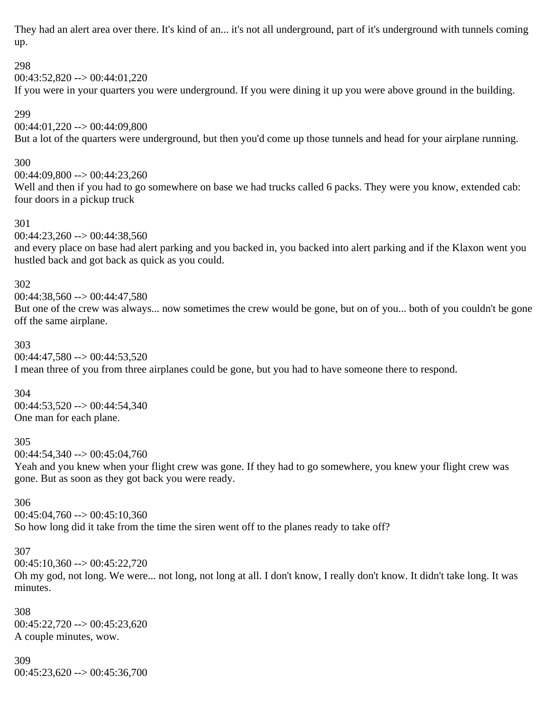They had an alert area over there. It's kind of an... it's not all underground, part of it's underground with tunnels coming up.

# 298

 $00:43:52,820 \rightarrow 00:44:01,220$ 

If you were in your quarters you were underground. If you were dining it up you were above ground in the building.

299

# 00:44:01,220 --> 00:44:09,800

But a lot of the quarters were underground, but then you'd come up those tunnels and head for your airplane running.

# 300

 $00:44:09.800 \rightarrow 00:44:23.260$ Well and then if you had to go somewhere on base we had trucks called 6 packs. They were you know, extended cab: four doors in a pickup truck

#### 301

 $00:44:23,260 \rightarrow 00:44:38,560$ 

and every place on base had alert parking and you backed in, you backed into alert parking and if the Klaxon went you hustled back and got back as quick as you could.

#### 302

 $00:44:38,560 \rightarrow 00:44:47,580$ But one of the crew was always... now sometimes the crew would be gone, but on of you... both of you couldn't be gone off the same airplane.

#### 303

 $00:44:47,580 \rightarrow 00:44:53,520$ 

I mean three of you from three airplanes could be gone, but you had to have someone there to respond.

#### 304

 $00:44:53,520 \rightarrow 00:44:54,340$ One man for each plane.

# 305

00:44:54,340 --> 00:45:04,760

Yeah and you knew when your flight crew was gone. If they had to go somewhere, you knew your flight crew was gone. But as soon as they got back you were ready.

# 306

 $00:45:04,760 \rightarrow 00:45:10,360$ So how long did it take from the time the siren went off to the planes ready to take off?

#### 307

00:45:10,360 --> 00:45:22,720

Oh my god, not long. We were... not long, not long at all. I don't know, I really don't know. It didn't take long. It was minutes.

308  $00:45:22,720 \rightarrow 00:45:23,620$ A couple minutes, wow.

# 309

 $00:45:23,620 \rightarrow 00:45:36,700$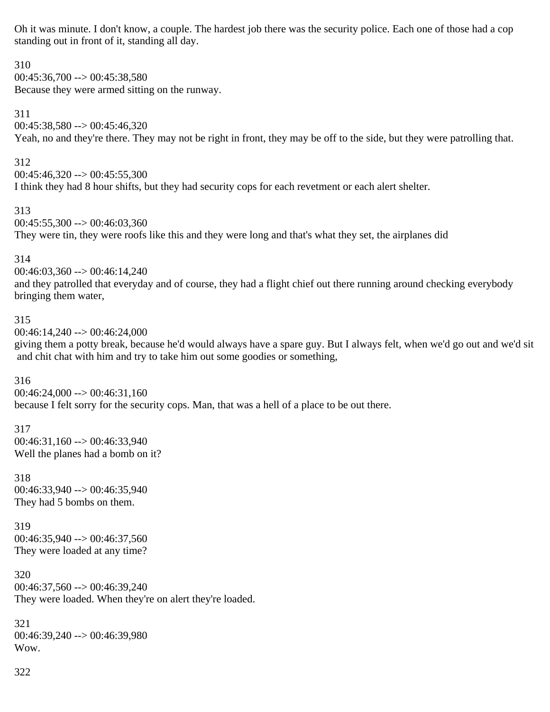Oh it was minute. I don't know, a couple. The hardest job there was the security police. Each one of those had a cop standing out in front of it, standing all day.

310  $00:45:36,700 \rightarrow 00:45:38,580$ Because they were armed sitting on the runway.

311  $00:45:38,580 \rightarrow 00:45:46,320$ 

Yeah, no and they're there. They may not be right in front, they may be off to the side, but they were patrolling that.

312  $00:45:46,320 \rightarrow 00:45:55,300$ I think they had 8 hour shifts, but they had security cops for each revetment or each alert shelter.

313

 $00:45:55,300 \rightarrow 00:46:03,360$ They were tin, they were roofs like this and they were long and that's what they set, the airplanes did

314

00:46:03,360 --> 00:46:14,240

and they patrolled that everyday and of course, they had a flight chief out there running around checking everybody bringing them water,

# 315

 $00:46:14.240 \rightarrow 00:46:24.000$ 

giving them a potty break, because he'd would always have a spare guy. But I always felt, when we'd go out and we'd sit and chit chat with him and try to take him out some goodies or something,

# 316

 $00:46:24,000 \rightarrow 00:46:31,160$ because I felt sorry for the security cops. Man, that was a hell of a place to be out there.

317  $00:46:31,160 \rightarrow 00:46:33,940$ Well the planes had a bomb on it?

318 00:46:33,940 --> 00:46:35,940 They had 5 bombs on them.

319  $00:46:35,940 \rightarrow 00:46:37,560$ They were loaded at any time?

320  $00:46:37,560 \rightarrow 00:46:39,240$ They were loaded. When they're on alert they're loaded.

321 00:46:39,240 --> 00:46:39,980 Wow.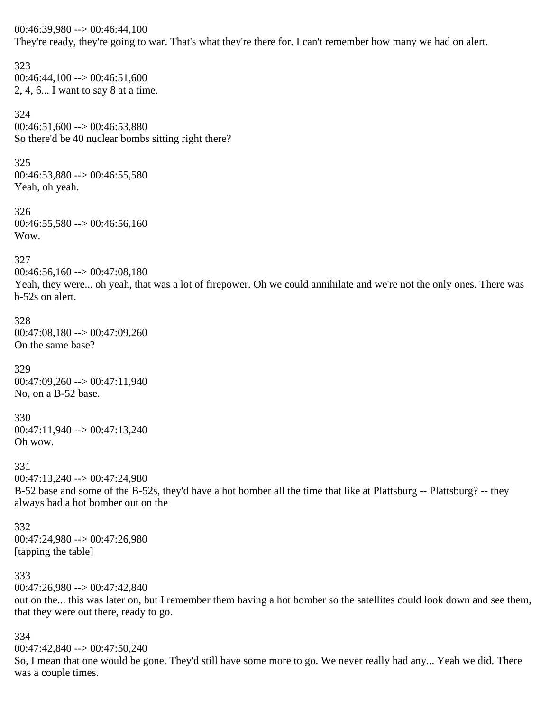00:46:39,980 --> 00:46:44,100 They're ready, they're going to war. That's what they're there for. I can't remember how many we had on alert.

323  $00:46:44,100 \rightarrow 00:46:51,600$ 2, 4, 6... I want to say 8 at a time.

324  $00:46:51,600 \rightarrow 00:46:53,880$ So there'd be 40 nuclear bombs sitting right there?

325  $00:46:53,880 \rightarrow 00:46:55,580$ Yeah, oh yeah.

326  $00:46:55,580 \rightarrow 00:46:56,160$ Wow.

327

00:46:56,160 --> 00:47:08,180

Yeah, they were... oh yeah, that was a lot of firepower. Oh we could annihilate and we're not the only ones. There was b-52s on alert.

#### 328

00:47:08,180 --> 00:47:09,260 On the same base?

329 00:47:09,260 --> 00:47:11,940 No, on a B-52 base.

330 00:47:11,940 --> 00:47:13,240 Oh wow.

331

00:47:13,240 --> 00:47:24,980 B-52 base and some of the B-52s, they'd have a hot bomber all the time that like at Plattsburg -- Plattsburg? -- they always had a hot bomber out on the

332 00:47:24,980 --> 00:47:26,980 [tapping the table]

333

00:47:26,980 --> 00:47:42,840

out on the... this was later on, but I remember them having a hot bomber so the satellites could look down and see them, that they were out there, ready to go.

334

00:47:42,840 --> 00:47:50,240

So, I mean that one would be gone. They'd still have some more to go. We never really had any... Yeah we did. There was a couple times.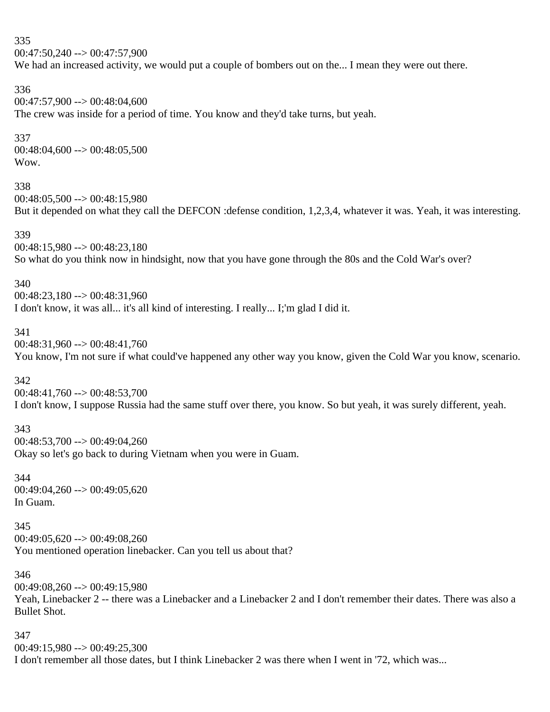335 00:47:50,240 --> 00:47:57,900 We had an increased activity, we would put a couple of bombers out on the... I mean they were out there. 336 00:47:57,900 --> 00:48:04,600 The crew was inside for a period of time. You know and they'd take turns, but yeah. 337  $00:48:04,600 \rightarrow 00:48:05,500$ Wow. 338  $00:48:05,500 \rightarrow 00:48:15.980$ But it depended on what they call the DEFCON :defense condition, 1,2,3,4, whatever it was. Yeah, it was interesting. 339 00:48:15,980 --> 00:48:23,180 So what do you think now in hindsight, now that you have gone through the 80s and the Cold War's over? 340 00:48:23,180 --> 00:48:31,960 I don't know, it was all... it's all kind of interesting. I really... I;'m glad I did it. 341 00:48:31,960 --> 00:48:41,760 You know, I'm not sure if what could've happened any other way you know, given the Cold War you know, scenario. 342 00:48:41,760 --> 00:48:53,700 I don't know, I suppose Russia had the same stuff over there, you know. So but yeah, it was surely different, yeah. 343  $00:48:53,700 \rightarrow 00:49:04,260$ Okay so let's go back to during Vietnam when you were in Guam.

344 00:49:04,260 --> 00:49:05,620 In Guam.

345  $00:49:05.620 \rightarrow 00:49:08.260$ You mentioned operation linebacker. Can you tell us about that?

346 00:49:08,260 --> 00:49:15,980 Yeah, Linebacker 2 -- there was a Linebacker and a Linebacker 2 and I don't remember their dates. There was also a Bullet Shot.

347 00:49:15,980 --> 00:49:25,300 I don't remember all those dates, but I think Linebacker 2 was there when I went in '72, which was...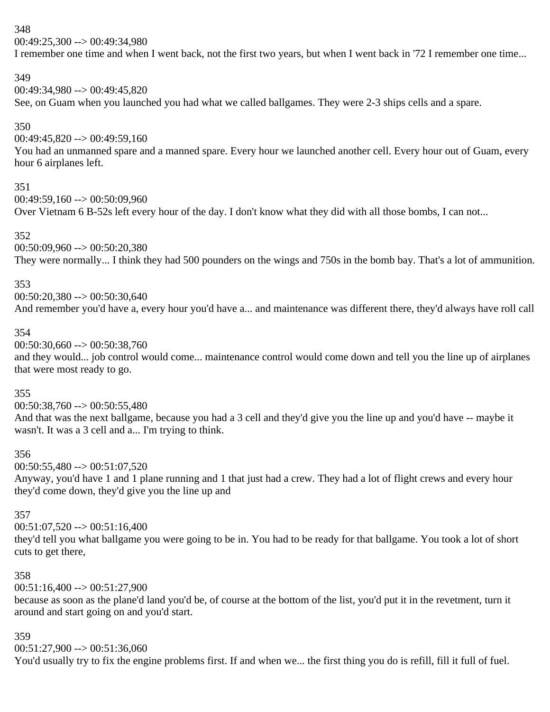$00:49:25.300 \rightarrow 00:49:34.980$ 

I remember one time and when I went back, not the first two years, but when I went back in '72 I remember one time...

#### 349

 $00:49:34.980 \rightarrow 00:49:45.820$ 

See, on Guam when you launched you had what we called ballgames. They were 2-3 ships cells and a spare.

# 350

 $00:49:45,820 \rightarrow 00:49:59,160$ 

You had an unmanned spare and a manned spare. Every hour we launched another cell. Every hour out of Guam, every hour 6 airplanes left.

#### 351

00:49:59,160 --> 00:50:09,960

Over Vietnam 6 B-52s left every hour of the day. I don't know what they did with all those bombs, I can not...

#### 352

00:50:09,960 --> 00:50:20,380 They were normally... I think they had 500 pounders on the wings and 750s in the bomb bay. That's a lot of ammunition.

#### 353

00:50:20,380 --> 00:50:30,640 And remember you'd have a, every hour you'd have a... and maintenance was different there, they'd always have roll call

#### 354

00:50:30,660 --> 00:50:38,760

and they would... job control would come... maintenance control would come down and tell you the line up of airplanes that were most ready to go.

# 355

00:50:38,760 --> 00:50:55,480

And that was the next ballgame, because you had a 3 cell and they'd give you the line up and you'd have -- maybe it wasn't. It was a 3 cell and a... I'm trying to think.

# 356

 $00:50:55,480 \rightarrow 00:51:07,520$ 

Anyway, you'd have 1 and 1 plane running and 1 that just had a crew. They had a lot of flight crews and every hour they'd come down, they'd give you the line up and

# 357

00:51:07,520 --> 00:51:16,400

they'd tell you what ballgame you were going to be in. You had to be ready for that ballgame. You took a lot of short cuts to get there,

# 358

 $00:51:16,400 \rightarrow 00:51:27,900$ 

because as soon as the plane'd land you'd be, of course at the bottom of the list, you'd put it in the revetment, turn it around and start going on and you'd start.

# 359

 $00:51:27,900 \rightarrow 00:51:36,060$ 

You'd usually try to fix the engine problems first. If and when we... the first thing you do is refill, fill it full of fuel.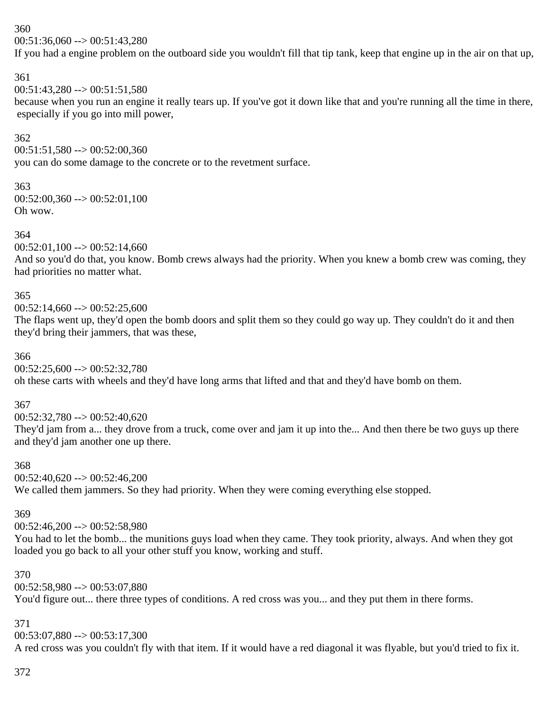$00:51:36,060 \rightarrow 00:51:43,280$ 

If you had a engine problem on the outboard side you wouldn't fill that tip tank, keep that engine up in the air on that up,

#### 361

 $00:51:43,280 \rightarrow 00:51:51,580$ 

because when you run an engine it really tears up. If you've got it down like that and you're running all the time in there, especially if you go into mill power,

#### 362

 $00:51:51,580 \rightarrow 00:52:00,360$ 

you can do some damage to the concrete or to the revetment surface.

#### 363

 $00:52:00,360 \rightarrow 00:52:01,100$ Oh wow.

#### 364

 $00:52:01,100 \rightarrow 00:52:14,660$ 

And so you'd do that, you know. Bomb crews always had the priority. When you knew a bomb crew was coming, they had priorities no matter what.

#### 365

 $00:52:14,660 \rightarrow 00:52:25,600$ 

The flaps went up, they'd open the bomb doors and split them so they could go way up. They couldn't do it and then they'd bring their jammers, that was these,

#### 366

 $00:52:25.600 \rightarrow 00:52:32.780$ 

oh these carts with wheels and they'd have long arms that lifted and that and they'd have bomb on them.

# 367

 $00:52:32.780 \rightarrow 00:52:40.620$ 

They'd jam from a... they drove from a truck, come over and jam it up into the... And then there be two guys up there and they'd jam another one up there.

#### 368

 $00:52:40.620 \rightarrow 00:52:46.200$ We called them jammers. So they had priority. When they were coming everything else stopped.

# 369

 $00:52:46.200 \rightarrow 00:52:58.980$ 

You had to let the bomb... the munitions guys load when they came. They took priority, always. And when they got loaded you go back to all your other stuff you know, working and stuff.

# 370

00:52:58,980 --> 00:53:07,880

You'd figure out... there three types of conditions. A red cross was you... and they put them in there forms.

# 371

00:53:07,880 --> 00:53:17,300 A red cross was you couldn't fly with that item. If it would have a red diagonal it was flyable, but you'd tried to fix it.

# 372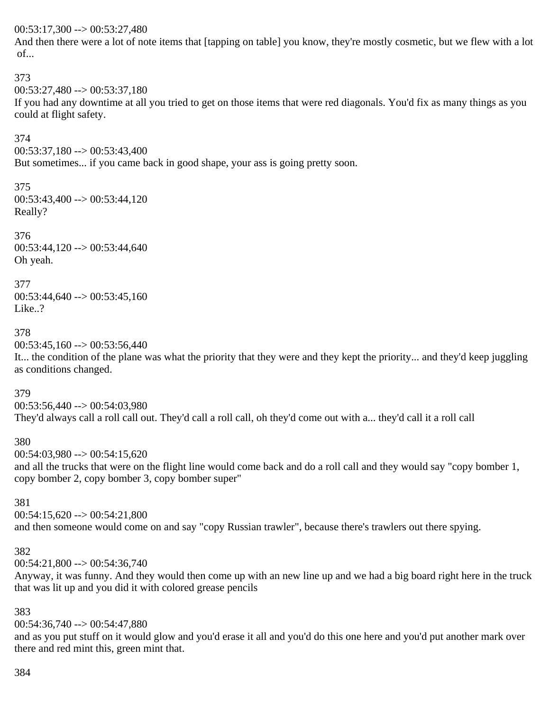#### $00:53:17,300 \rightarrow 00:53:27,480$

And then there were a lot of note items that [tapping on table] you know, they're mostly cosmetic, but we flew with a lot of...

#### 373

 $00:53:27.480 \rightarrow 00:53:37.180$ 

If you had any downtime at all you tried to get on those items that were red diagonals. You'd fix as many things as you could at flight safety.

#### 374

 $00:53:37,180 \rightarrow 00:53:43,400$ 

But sometimes... if you came back in good shape, your ass is going pretty soon.

#### 375

 $00:53:43,400 \rightarrow 00:53:44,120$ Really?

#### 376

 $00:53:44,120 \rightarrow 00:53:44,640$ Oh yeah.

#### 377

 $00:53:44,640 \rightarrow 00:53:45,160$ Like..?

#### 378

 $00:53:45,160 \rightarrow 00:53:56,440$ 

It... the condition of the plane was what the priority that they were and they kept the priority... and they'd keep juggling as conditions changed.

#### 379

00:53:56,440 --> 00:54:03,980 They'd always call a roll call out. They'd call a roll call, oh they'd come out with a... they'd call it a roll call

#### 380

 $00:54:03,980 \rightarrow 00:54:15,620$ 

and all the trucks that were on the flight line would come back and do a roll call and they would say "copy bomber 1, copy bomber 2, copy bomber 3, copy bomber super"

#### 381

 $00:54:15,620 \rightarrow 00:54:21,800$ and then someone would come on and say "copy Russian trawler", because there's trawlers out there spying.

#### 382

 $00:54:21,800 \rightarrow 00:54:36,740$ 

Anyway, it was funny. And they would then come up with an new line up and we had a big board right here in the truck that was lit up and you did it with colored grease pencils

#### 383

 $00:54:36,740 \rightarrow 00:54:47,880$ 

and as you put stuff on it would glow and you'd erase it all and you'd do this one here and you'd put another mark over there and red mint this, green mint that.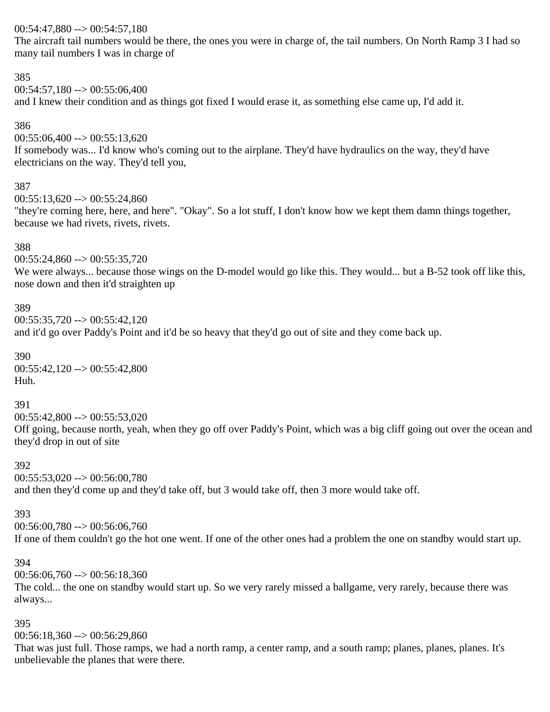#### $00:54:47,880 \rightarrow 00:54:57,180$

The aircraft tail numbers would be there, the ones you were in charge of, the tail numbers. On North Ramp 3 I had so many tail numbers I was in charge of

#### 385

 $00:54:57,180 \rightarrow 00:55:06,400$ and I knew their condition and as things got fixed I would erase it, as something else came up, I'd add it.

#### 386

 $00:55:06,400 \rightarrow 00:55:13,620$ 

If somebody was... I'd know who's coming out to the airplane. They'd have hydraulics on the way, they'd have electricians on the way. They'd tell you,

#### 387

 $00:55:13.620 \rightarrow 00:55:24.860$ 

"they're coming here, here, and here". "Okay". So a lot stuff, I don't know how we kept them damn things together, because we had rivets, rivets, rivets.

#### 388

 $00:55:24,860 \rightarrow 00:55:35,720$ 

We were always... because those wings on the D-model would go like this. They would... but a B-52 took off like this, nose down and then it'd straighten up

#### 389

 $00:55:35,720 \rightarrow 00:55:42,120$ 

and it'd go over Paddy's Point and it'd be so heavy that they'd go out of site and they come back up.

390  $00:55:42,120 \rightarrow 00:55:42,800$ Huh.

#### 391

 $00:55:42.800 \rightarrow 00:55:53.020$ 

Off going, because north, yeah, when they go off over Paddy's Point, which was a big cliff going out over the ocean and they'd drop in out of site

#### 392

 $00:55:53.020 \rightarrow 00:56:00.780$ and then they'd come up and they'd take off, but 3 would take off, then 3 more would take off.

#### 393

 $00:56:00,780 \rightarrow 00:56:06,760$ 

If one of them couldn't go the hot one went. If one of the other ones had a problem the one on standby would start up.

#### 394

 $00:56:06,760 \rightarrow 00:56:18,360$ 

The cold... the one on standby would start up. So we very rarely missed a ballgame, very rarely, because there was always...

# 395

 $00:56:18,360 \rightarrow 00:56:29,860$ 

That was just full. Those ramps, we had a north ramp, a center ramp, and a south ramp; planes, planes, planes. It's unbelievable the planes that were there.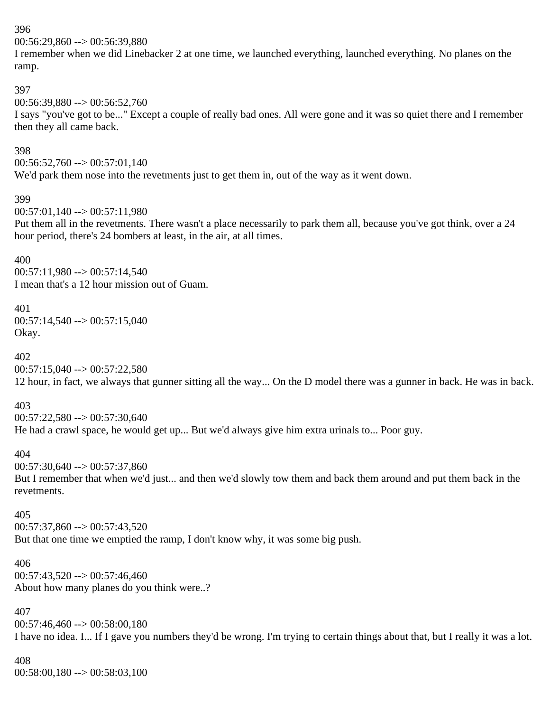00:56:29,860 --> 00:56:39,880

I remember when we did Linebacker 2 at one time, we launched everything, launched everything. No planes on the ramp.

# 397

 $00:56:39.880 \rightarrow 00:56:52.760$ 

I says "you've got to be..." Except a couple of really bad ones. All were gone and it was so quiet there and I remember then they all came back.

# 398

 $00:56:52,760 \rightarrow 00:57:01,140$ 

We'd park them nose into the revetments just to get them in, out of the way as it went down.

#### 399

 $00:57:01,140 \rightarrow 00:57:11,980$ 

Put them all in the revetments. There wasn't a place necessarily to park them all, because you've got think, over a 24 hour period, there's 24 bombers at least, in the air, at all times.

# 400

 $00:57:11,980 \rightarrow 00:57:14,540$ I mean that's a 12 hour mission out of Guam.

# 401

00:57:14,540 --> 00:57:15,040 Okay.

# 402

 $00:57:15,040 \rightarrow 00:57:22,580$ 12 hour, in fact, we always that gunner sitting all the way... On the D model there was a gunner in back. He was in back.

# 403

 $00:57:22,580 \rightarrow 00:57:30,640$ He had a crawl space, he would get up... But we'd always give him extra urinals to... Poor guy.

# 404

 $00:57:30,640 \rightarrow 00:57:37,860$ 

But I remember that when we'd just... and then we'd slowly tow them and back them around and put them back in the revetments.

# 405

 $00:57:37,860 \rightarrow 00:57:43,520$ But that one time we emptied the ramp, I don't know why, it was some big push.

# 406  $00:57:43.520 \rightarrow 00:57:46.460$ About how many planes do you think were..?

# 407

 $00:57:46,460 \rightarrow 00:58:00,180$ I have no idea. I... If I gave you numbers they'd be wrong. I'm trying to certain things about that, but I really it was a lot.

# 408

00:58:00,180 --> 00:58:03,100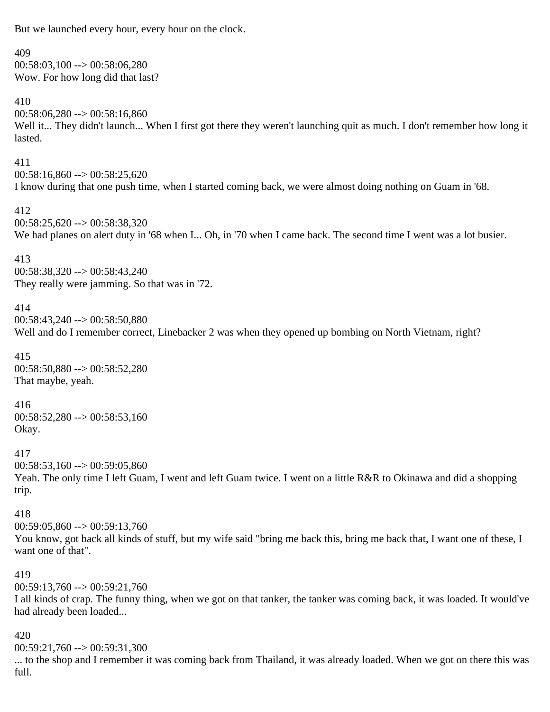But we launched every hour, every hour on the clock.

#### 409

 $00:58:03,100 \rightarrow 00:58:06,280$ Wow. For how long did that last?

#### 410

 $00:58:06,280 \rightarrow 00:58:16,860$ Well it... They didn't launch... When I first got there they weren't launching quit as much. I don't remember how long it lasted.

#### 411

 $00:58:16,860 \rightarrow 00:58:25,620$ I know during that one push time, when I started coming back, we were almost doing nothing on Guam in '68.

#### 412

 $00:58:25,620 \rightarrow 00:58:38,320$ We had planes on alert duty in '68 when I... Oh, in '70 when I came back. The second time I went was a lot busier.

413 00:58:38,320 --> 00:58:43,240 They really were jamming. So that was in '72.

#### 414

00:58:43,240 --> 00:58:50,880 Well and do I remember correct, Linebacker 2 was when they opened up bombing on North Vietnam, right?

415 00:58:50,880 --> 00:58:52,280 That maybe, yeah.

#### 416

 $00:58:52,280 \rightarrow 00:58:53,160$ Okay.

#### 417

 $00:58:53.160 \rightarrow 00:59:05.860$ Yeah. The only time I left Guam, I went and left Guam twice. I went on a little R&R to Okinawa and did a shopping trip.

#### 418

 $00:59:05,860 \rightarrow 00:59:13,760$ You know, got back all kinds of stuff, but my wife said "bring me back this, bring me back that, I want one of these, I want one of that".

#### 419

 $00:59:13,760 \rightarrow 00:59:21,760$ 

I all kinds of crap. The funny thing, when we got on that tanker, the tanker was coming back, it was loaded. It would've had already been loaded...

#### 420

00:59:21,760 --> 00:59:31,300

... to the shop and I remember it was coming back from Thailand, it was already loaded. When we got on there this was full.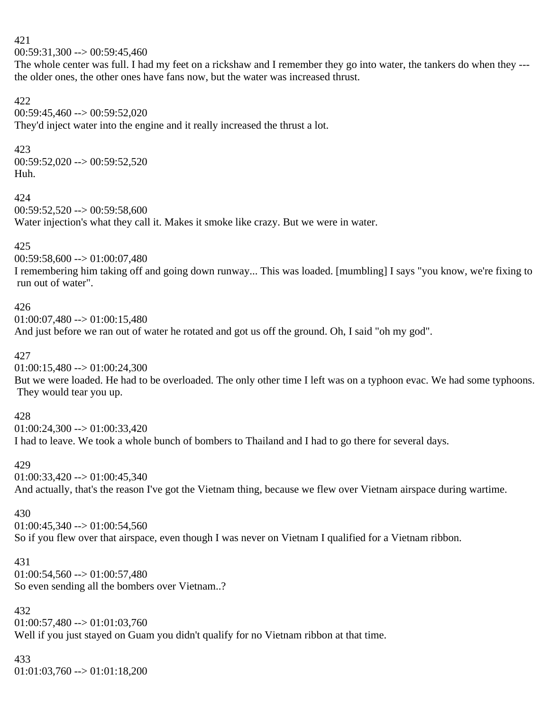421  $00:59:31,300 \rightarrow 00:59:45,460$ 

The whole center was full. I had my feet on a rickshaw and I remember they go into water, the tankers do when they -- the older ones, the other ones have fans now, but the water was increased thrust.

# 422

00:59:45,460 --> 00:59:52,020 They'd inject water into the engine and it really increased the thrust a lot.

# 423

 $00:59:52,020 \rightarrow 00:59:52,520$ Huh.

#### 424

 $00:59:52,520 \rightarrow 00:59:58,600$ 

Water injection's what they call it. Makes it smoke like crazy. But we were in water.

# 425

00:59:58,600 --> 01:00:07,480

I remembering him taking off and going down runway... This was loaded. [mumbling] I says "you know, we're fixing to run out of water".

# 426

 $01:00:07,480 \rightarrow 01:00:15,480$ And just before we ran out of water he rotated and got us off the ground. Oh, I said "oh my god".

# 427

 $01:00:15,480 \rightarrow 01:00:24,300$ 

But we were loaded. He had to be overloaded. The only other time I left was on a typhoon evac. We had some typhoons. They would tear you up.

# 428

 $01:00:24,300 \rightarrow 01:00:33,420$ 

I had to leave. We took a whole bunch of bombers to Thailand and I had to go there for several days.

# 429

 $01:00:33,420 \rightarrow 01:00:45,340$ And actually, that's the reason I've got the Vietnam thing, because we flew over Vietnam airspace during wartime.

# 430

 $01:00:45,340 \rightarrow 01:00:54,560$ So if you flew over that airspace, even though I was never on Vietnam I qualified for a Vietnam ribbon.

# 431  $01:00:54,560 \rightarrow 01:00:57,480$

So even sending all the bombers over Vietnam..?

# 432

 $01:00:57,480 \rightarrow 01:01:03,760$ Well if you just stayed on Guam you didn't qualify for no Vietnam ribbon at that time.

# 433

 $01:01:03,760 \rightarrow 01:01:18,200$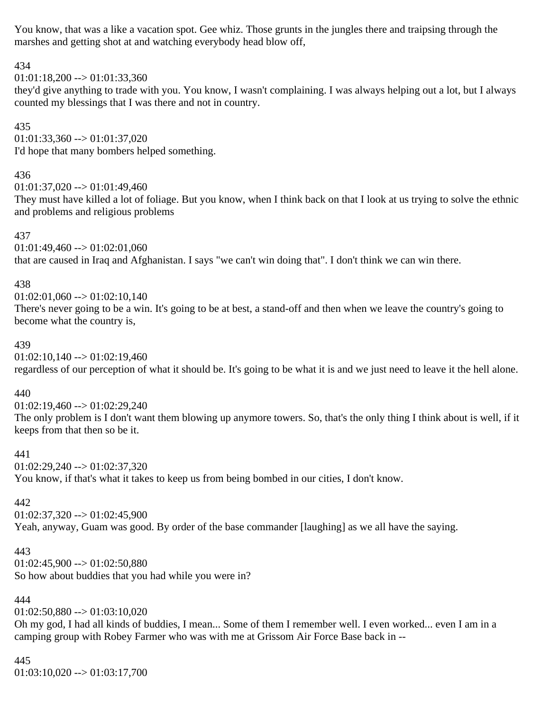You know, that was a like a vacation spot. Gee whiz. Those grunts in the jungles there and traipsing through the marshes and getting shot at and watching everybody head blow off,

# 434

 $01:01:18,200 \rightarrow 01:01:33,360$ 

they'd give anything to trade with you. You know, I wasn't complaining. I was always helping out a lot, but I always counted my blessings that I was there and not in country.

# 435

 $01:01:33,360 \rightarrow 01:01:37,020$ I'd hope that many bombers helped something.

#### 436

 $01:01:37,020 \rightarrow 01:01:49,460$ 

They must have killed a lot of foliage. But you know, when I think back on that I look at us trying to solve the ethnic and problems and religious problems

# 437

 $01:01:49,460 \rightarrow 01:02:01,060$ that are caused in Iraq and Afghanistan. I says "we can't win doing that". I don't think we can win there.

# 438

 $01:02:01,060 \rightarrow 01:02:10,140$ There's never going to be a win. It's going to be at best, a stand-off and then when we leave the country's going to become what the country is,

# 439

 $01:02:10,140 \rightarrow 01:02:19,460$ regardless of our perception of what it should be. It's going to be what it is and we just need to leave it the hell alone.

# 440

 $01:02:19,460 \rightarrow 01:02:29,240$ The only problem is I don't want them blowing up anymore towers. So, that's the only thing I think about is well, if it keeps from that then so be it.

# 441

 $01:02:29.240 \rightarrow 01:02:37.320$ 

You know, if that's what it takes to keep us from being bombed in our cities, I don't know.

# 442

 $01:02:37,320 \rightarrow 01:02:45,900$ Yeah, anyway, Guam was good. By order of the base commander [laughing] as we all have the saying.

# 443

 $01:02:45,900 \rightarrow 01:02:50,880$ So how about buddies that you had while you were in?

# 444

 $01:02:50,880 \rightarrow 01:03:10,020$ 

Oh my god, I had all kinds of buddies, I mean... Some of them I remember well. I even worked... even I am in a camping group with Robey Farmer who was with me at Grissom Air Force Base back in --

# 445

 $01:03:10,020 \rightarrow 01:03:17,700$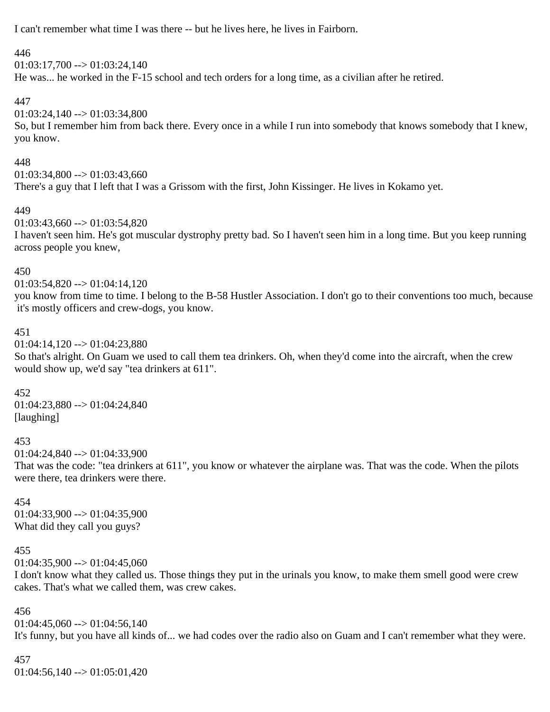I can't remember what time I was there -- but he lives here, he lives in Fairborn.

# 446

 $01:03:17,700 \rightarrow 01:03:24,140$ He was... he worked in the F-15 school and tech orders for a long time, as a civilian after he retired.

# 447

 $01:03:24,140 \rightarrow 01:03:34,800$ 

So, but I remember him from back there. Every once in a while I run into somebody that knows somebody that I knew, you know.

# 448

 $01:03:34,800 \rightarrow 01:03:43,660$ There's a guy that I left that I was a Grissom with the first, John Kissinger. He lives in Kokamo yet.

# 449

 $01:03:43,660 \rightarrow 01:03:54,820$ I haven't seen him. He's got muscular dystrophy pretty bad. So I haven't seen him in a long time. But you keep running across people you knew,

# 450

 $01:03:54,820 \rightarrow 01:04:14,120$ 

you know from time to time. I belong to the B-58 Hustler Association. I don't go to their conventions too much, because it's mostly officers and crew-dogs, you know.

#### 451

 $01:04:14,120 \rightarrow 01:04:23,880$ 

So that's alright. On Guam we used to call them tea drinkers. Oh, when they'd come into the aircraft, when the crew would show up, we'd say "tea drinkers at 611".

# 452

01:04:23,880 --> 01:04:24,840 [laughing]

#### 453

 $01:04:24,840 \rightarrow 01:04:33,900$ 

That was the code: "tea drinkers at 611", you know or whatever the airplane was. That was the code. When the pilots were there, tea drinkers were there.

#### 454

 $01:04:33,900 \rightarrow 01:04:35,900$ What did they call you guys?

# 455

 $01:04:35,900 \rightarrow 01:04:45,060$ 

I don't know what they called us. Those things they put in the urinals you know, to make them smell good were crew cakes. That's what we called them, was crew cakes.

#### 456

 $01:04:45,060 \rightarrow 01:04:56,140$ It's funny, but you have all kinds of... we had codes over the radio also on Guam and I can't remember what they were.

# 457

 $01:04:56,140 \rightarrow 01:05:01,420$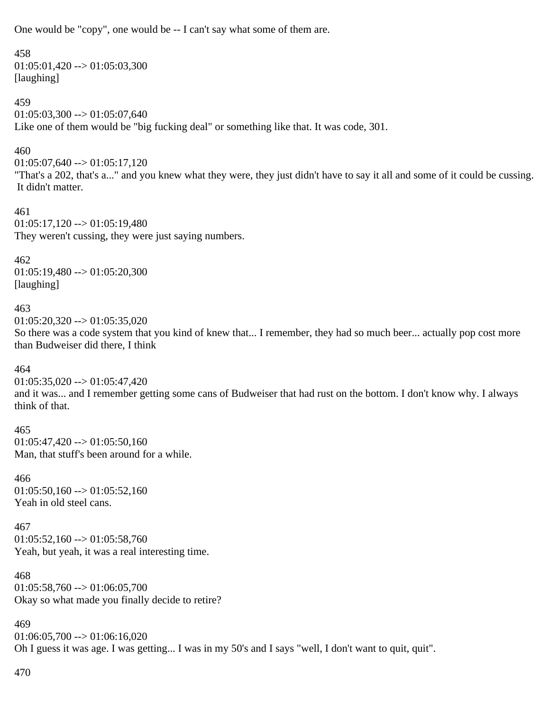One would be "copy", one would be -- I can't say what some of them are.

#### 458

 $01:05:01,420 \rightarrow 01:05:03,300$ [laughing]

# 459

 $01:05:03,300 \rightarrow 01:05:07,640$ Like one of them would be "big fucking deal" or something like that. It was code, 301.

# 460

 $01:05:07,640 \rightarrow 01:05:17,120$ 

"That's a 202, that's a..." and you knew what they were, they just didn't have to say it all and some of it could be cussing. It didn't matter.

#### 461

 $01:05:17,120 \rightarrow 01:05:19,480$ They weren't cussing, they were just saying numbers.

# 462

 $01:05:19,480 \rightarrow 01:05:20,300$ [laughing]

# 463

 $01:05:20,320 \rightarrow 01:05:35,020$ 

So there was a code system that you kind of knew that... I remember, they had so much beer... actually pop cost more than Budweiser did there, I think

# 464

 $01:05:35,020 \rightarrow 01:05:47,420$ 

and it was... and I remember getting some cans of Budweiser that had rust on the bottom. I don't know why. I always think of that.

#### 465

 $01:05:47,420 \rightarrow 01:05:50,160$ Man, that stuff's been around for a while.

#### 466  $01:05:50.160 \rightarrow 01:05:52.160$ Yeah in old steel cans.

#### 467  $01:05:52,160 \rightarrow 01:05:58,760$ Yeah, but yeah, it was a real interesting time.

468  $01:05:58,760 \rightarrow 01:06:05,700$ Okay so what made you finally decide to retire?

469  $01:06:05,700 \rightarrow 01:06:16,020$ Oh I guess it was age. I was getting... I was in my 50's and I says "well, I don't want to quit, quit".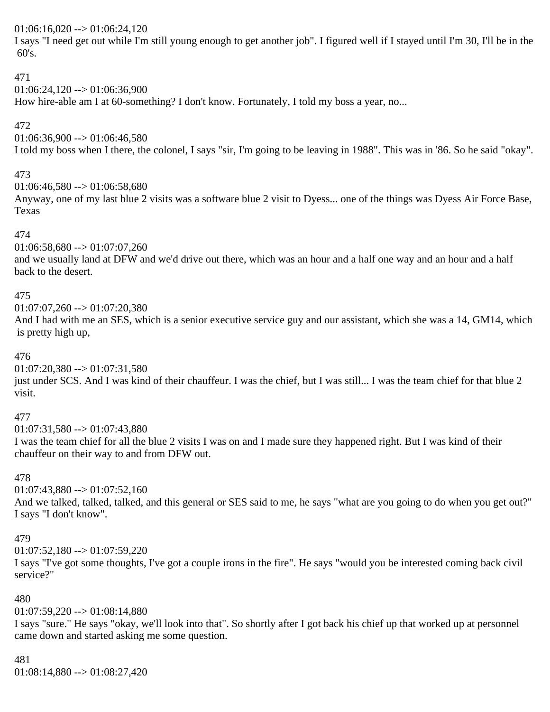#### $01:06:16,020 \rightarrow 01:06:24,120$

I says "I need get out while I'm still young enough to get another job". I figured well if I stayed until I'm 30, I'll be in the 60's.

#### 471

# $01:06:24,120 \rightarrow 01:06:36,900$

How hire-able am I at 60-something? I don't know. Fortunately, I told my boss a year, no...

#### 472

 $01:06:36,900 \rightarrow 01:06:46,580$ 

I told my boss when I there, the colonel, I says "sir, I'm going to be leaving in 1988". This was in '86. So he said "okay".

# 473

 $01:06:46,580 \rightarrow 01:06:58,680$ 

Anyway, one of my last blue 2 visits was a software blue 2 visit to Dyess... one of the things was Dyess Air Force Base, Texas

#### 474

 $01:06:58,680 \rightarrow 01:07:07,260$ 

and we usually land at DFW and we'd drive out there, which was an hour and a half one way and an hour and a half back to the desert.

#### 475

 $01:07:07,260 \rightarrow 01:07:20,380$ 

And I had with me an SES, which is a senior executive service guy and our assistant, which she was a 14, GM14, which is pretty high up,

#### 476

 $01:07:20,380 \rightarrow 01:07:31,580$ 

just under SCS. And I was kind of their chauffeur. I was the chief, but I was still... I was the team chief for that blue 2 visit.

#### 477

 $01:07:31,580 \rightarrow 01:07:43,880$ 

I was the team chief for all the blue 2 visits I was on and I made sure they happened right. But I was kind of their chauffeur on their way to and from DFW out.

#### 478

 $01:07:43,880 \rightarrow 01:07:52,160$ 

And we talked, talked, talked, and this general or SES said to me, he says "what are you going to do when you get out?" I says "I don't know".

#### 479

 $01:07:52,180 \rightarrow 01:07:59,220$ 

I says "I've got some thoughts, I've got a couple irons in the fire". He says "would you be interested coming back civil service?"

# 480

 $01:07:59,220 \rightarrow 01:08:14,880$ 

I says "sure." He says "okay, we'll look into that". So shortly after I got back his chief up that worked up at personnel came down and started asking me some question.

# 481

01:08:14,880 --> 01:08:27,420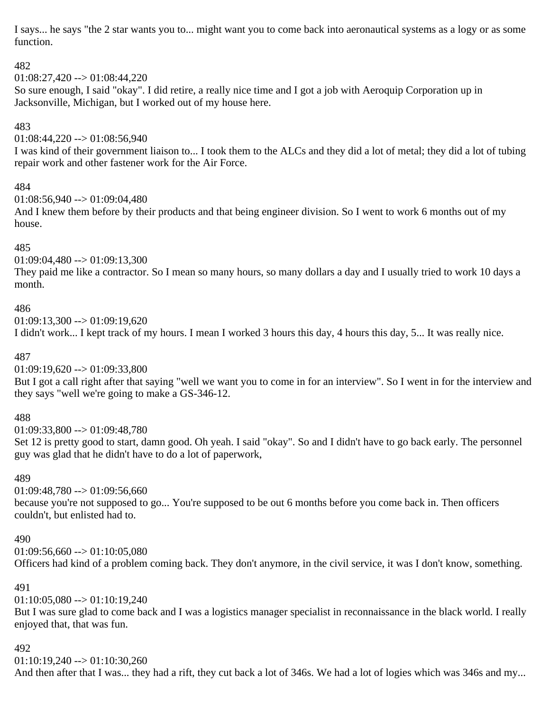I says... he says "the 2 star wants you to... might want you to come back into aeronautical systems as a logy or as some function.

# 482

 $01:08:27,420 \rightarrow 01:08:44,220$ 

So sure enough, I said "okay". I did retire, a really nice time and I got a job with Aeroquip Corporation up in Jacksonville, Michigan, but I worked out of my house here.

# 483

 $01:08:44,220 \rightarrow 01:08:56,940$ 

I was kind of their government liaison to... I took them to the ALCs and they did a lot of metal; they did a lot of tubing repair work and other fastener work for the Air Force.

# 484

 $01:08:56.940 \rightarrow 01:09:04.480$ 

And I knew them before by their products and that being engineer division. So I went to work 6 months out of my house.

# 485

 $01:09:04,480 \rightarrow 01:09:13,300$ 

They paid me like a contractor. So I mean so many hours, so many dollars a day and I usually tried to work 10 days a month.

# 486

 $01:09:13,300 \rightarrow 01:09:19,620$ 

I didn't work... I kept track of my hours. I mean I worked 3 hours this day, 4 hours this day, 5... It was really nice.

#### 487

 $01:09:19,620 \rightarrow 01:09:33,800$ 

But I got a call right after that saying "well we want you to come in for an interview". So I went in for the interview and they says "well we're going to make a GS-346-12.

# 488

 $01:09:33,800 \rightarrow 01:09:48,780$ 

Set 12 is pretty good to start, damn good. Oh yeah. I said "okay". So and I didn't have to go back early. The personnel guy was glad that he didn't have to do a lot of paperwork,

# 489

 $01:09:48.780 \rightarrow 01:09:56.660$ 

because you're not supposed to go... You're supposed to be out 6 months before you come back in. Then officers couldn't, but enlisted had to.

#### 490

 $01:09:56,660 \rightarrow 01:10:05,080$ 

Officers had kind of a problem coming back. They don't anymore, in the civil service, it was I don't know, something.

# 491

 $01:10:05.080 \rightarrow 01:10:19.240$ 

But I was sure glad to come back and I was a logistics manager specialist in reconnaissance in the black world. I really enjoyed that, that was fun.

# 492

 $01:10:19,240 \rightarrow 01:10:30,260$ 

And then after that I was... they had a rift, they cut back a lot of 346s. We had a lot of logies which was 346s and my...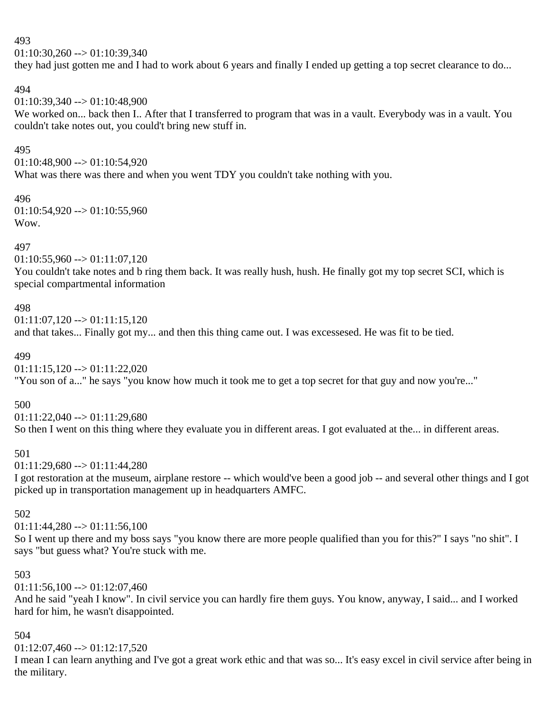$01:10:30,260 \rightarrow 01:10:39,340$ 

they had just gotten me and I had to work about 6 years and finally I ended up getting a top secret clearance to do...

#### 494

 $01:10:39.340 \rightarrow 01:10:48.900$ 

We worked on... back then I.. After that I transferred to program that was in a vault. Everybody was in a vault. You couldn't take notes out, you could't bring new stuff in.

#### 495

 $01:10:48,900 \rightarrow 01:10:54,920$ What was there was there and when you went TDY you couldn't take nothing with you.

#### 496  $01:10:54,920 \rightarrow 01:10:55,960$ Wow.

#### 497

 $01:10:55,960 \rightarrow 01:11:07,120$ 

You couldn't take notes and b ring them back. It was really hush, hush. He finally got my top secret SCI, which is special compartmental information

#### 498

 $01:11:07,120 \rightarrow 01:11:15,120$ 

and that takes... Finally got my... and then this thing came out. I was excessesed. He was fit to be tied.

# 499

 $01:11:15,120 \rightarrow 01:11:22,020$ 

"You son of a..." he says "you know how much it took me to get a top secret for that guy and now you're..."

# 500

 $01:11:22.040 \rightarrow 01:11:29.680$ 

So then I went on this thing where they evaluate you in different areas. I got evaluated at the... in different areas.

# 501

 $01:11:29,680 \rightarrow 01:11:44,280$ 

I got restoration at the museum, airplane restore -- which would've been a good job -- and several other things and I got picked up in transportation management up in headquarters AMFC.

#### 502

 $01:11:44,280 \rightarrow 01:11:56,100$ 

So I went up there and my boss says "you know there are more people qualified than you for this?" I says "no shit". I says "but guess what? You're stuck with me.

# 503

 $01:11:56,100 \rightarrow 01:12:07,460$ 

And he said "yeah I know". In civil service you can hardly fire them guys. You know, anyway, I said... and I worked hard for him, he wasn't disappointed.

# 504

 $01:12:07,460 \rightarrow 01:12:17,520$ 

I mean I can learn anything and I've got a great work ethic and that was so... It's easy excel in civil service after being in the military.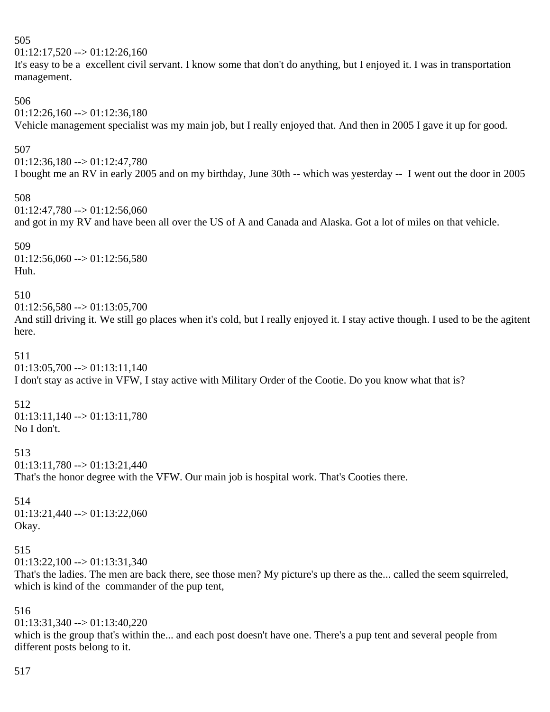```
505
01:12:17,520 \rightarrow 01:12:26,160It's easy to be a excellent civil servant. I know some that don't do anything, but I enjoyed it. I was in transportation 
management.
506
01:12:26,160 \rightarrow 01:12:36,180Vehicle management specialist was my main job, but I really enjoyed that. And then in 2005 I gave it up for good.
507
01:12:36,180 \rightarrow 01:12:47,780I bought me an RV in early 2005 and on my birthday, June 30th -- which was yesterday -- I went out the door in 2005
508
01:12:47,780 \rightarrow 01:12:56,060and got in my RV and have been all over the US of A and Canada and Alaska. Got a lot of miles on that vehicle.
509
01:12:56,060 \rightarrow 01:12:56,580Huh.
510
01:12:56,580 \rightarrow 01:13:05,700And still driving it. We still go places when it's cold, but I really enjoyed it. I stay active though. I used to be the agitent
here.
511
01:13:05,700 \rightarrow 01:13:11.140I don't stay as active in VFW, I stay active with Military Order of the Cootie. Do you know what that is?
512
01:13:11,140 --> 01:13:11,780
No I don't.
513
01:13:11,780 \rightarrow 01:13:21,440That's the honor degree with the VFW. Our main job is hospital work. That's Cooties there.
514
01:13:21,440 \rightarrow 01:13:22,060Okay.
515
01:13:22,100 \rightarrow 01:13:31,340That's the ladies. The men are back there, see those men? My picture's up there as the... called the seem squirreled, 
which is kind of the commander of the pup tent,
516
01:13:31,340 \rightarrow 01:13:40,220which is the group that's within the... and each post doesn't have one. There's a pup tent and several people from
```
different posts belong to it.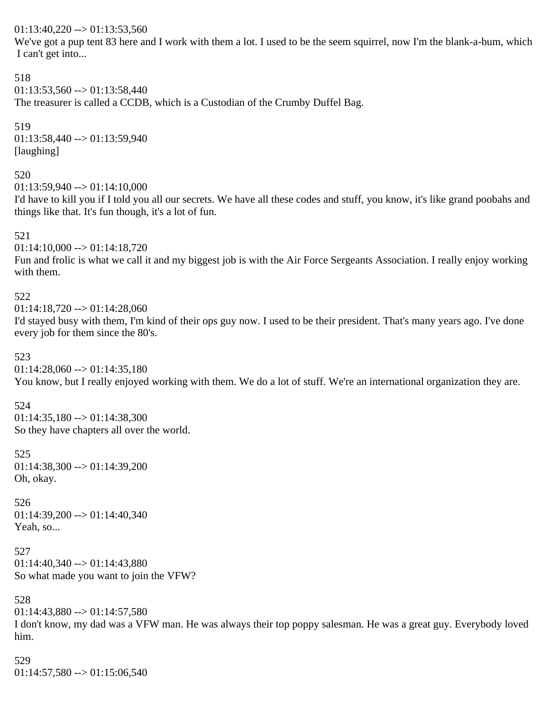$01:13:40,220 \rightarrow 01:13:53,560$ 

We've got a pup tent 83 here and I work with them a lot. I used to be the seem squirrel, now I'm the blank-a-bum, which I can't get into...

```
518
01:13:53.560 \rightarrow 01:13:58.440The treasurer is called a CCDB, which is a Custodian of the Crumby Duffel Bag.
```
519 01:13:58,440 --> 01:13:59,940 [laughing]

#### 520

 $01:13:59,940 \rightarrow 01:14:10,000$ 

I'd have to kill you if I told you all our secrets. We have all these codes and stuff, you know, it's like grand poobahs and things like that. It's fun though, it's a lot of fun.

#### 521

 $01:14:10,000 \rightarrow 01:14:18,720$ 

Fun and frolic is what we call it and my biggest job is with the Air Force Sergeants Association. I really enjoy working with them.

#### 522

 $01:14:18,720 \rightarrow 01:14:28,060$ 

I'd stayed busy with them, I'm kind of their ops guy now. I used to be their president. That's many years ago. I've done every job for them since the 80's.

#### 523

 $01:14:28,060 \rightarrow 01:14:35,180$ You know, but I really enjoyed working with them. We do a lot of stuff. We're an international organization they are.

#### 524

 $01:14:35,180 \rightarrow 01:14:38,300$ So they have chapters all over the world.

# 525

 $01:14:38,300 \rightarrow 01:14:39,200$ Oh, okay.

#### 526  $01:14:39,200 \rightarrow 01:14:40,340$ Yeah, so...

527  $01:14:40,340 \rightarrow 01:14:43,880$ So what made you want to join the VFW?

# 528

 $01:14:43,880 \rightarrow 01:14:57,580$ I don't know, my dad was a VFW man. He was always their top poppy salesman. He was a great guy. Everybody loved him.

# 529

 $01:14:57,580 \rightarrow 01:15:06,540$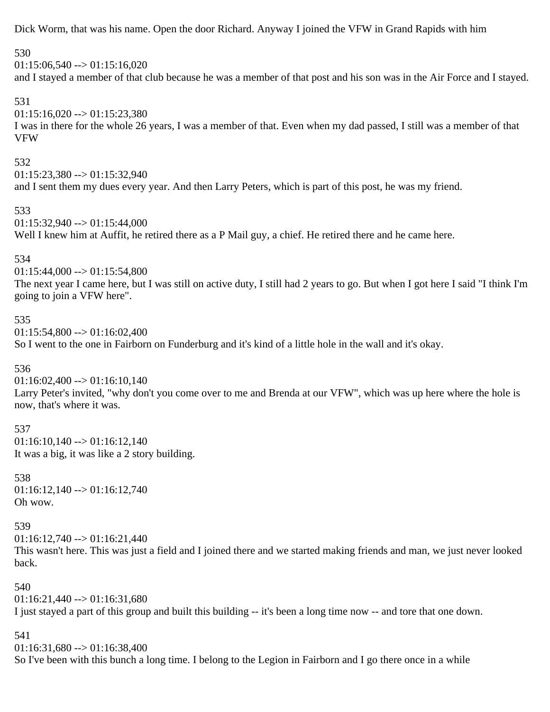Dick Worm, that was his name. Open the door Richard. Anyway I joined the VFW in Grand Rapids with him

#### 530

 $01:15:06,540 \rightarrow 01:15:16,020$ and I stayed a member of that club because he was a member of that post and his son was in the Air Force and I stayed.

# 531

 $01:15:16,020 \rightarrow 01:15:23,380$ I was in there for the whole 26 years, I was a member of that. Even when my dad passed, I still was a member of that VFW

#### 532

 $01:15:23,380 \rightarrow 01:15:32,940$ and I sent them my dues every year. And then Larry Peters, which is part of this post, he was my friend.

#### 533

 $01:15:32,940 \rightarrow 01:15:44,000$ Well I knew him at Auffit, he retired there as a P Mail guy, a chief. He retired there and he came here.

#### 534

 $01:15:44,000 \rightarrow 01:15:54,800$ 

The next year I came here, but I was still on active duty, I still had 2 years to go. But when I got here I said "I think I'm going to join a VFW here".

#### 535

 $01:15:54.800 \rightarrow 01:16:02.400$ So I went to the one in Fairborn on Funderburg and it's kind of a little hole in the wall and it's okay.

#### 536

 $01:16:02,400 \rightarrow 01:16:10,140$ 

Larry Peter's invited, "why don't you come over to me and Brenda at our VFW", which was up here where the hole is now, that's where it was.

#### 537

 $01:16:10.140 \rightarrow 01:16:12.140$ It was a big, it was like a 2 story building.

538 01:16:12,140 --> 01:16:12,740 Oh wow.

#### 539

 $01:16:12,740 \rightarrow 01:16:21,440$ 

This wasn't here. This was just a field and I joined there and we started making friends and man, we just never looked back.

540  $01:16:21.440 \rightarrow 01:16:31.680$ 

I just stayed a part of this group and built this building -- it's been a long time now -- and tore that one down.

#### 541

 $01:16:31,680 \rightarrow 01:16:38,400$ So I've been with this bunch a long time. I belong to the Legion in Fairborn and I go there once in a while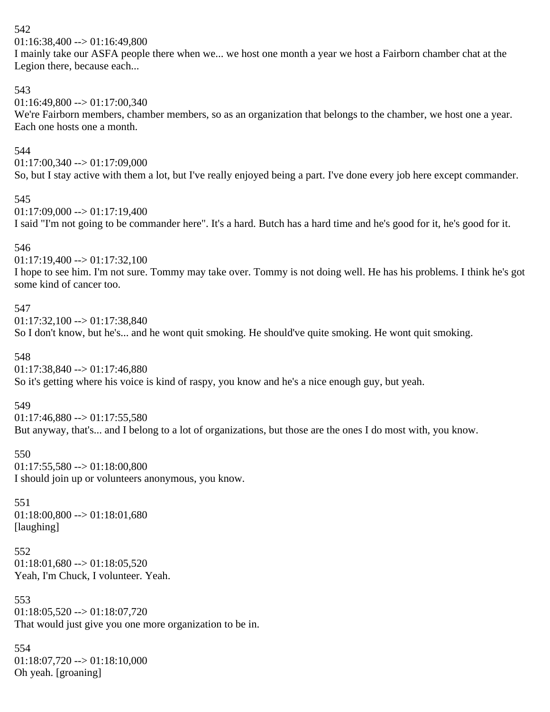01:16:38,400 --> 01:16:49,800

I mainly take our ASFA people there when we... we host one month a year we host a Fairborn chamber chat at the Legion there, because each...

# 543

 $01:16:49,800 \rightarrow 01:17:00,340$ 

We're Fairborn members, chamber members, so as an organization that belongs to the chamber, we host one a year. Each one hosts one a month.

# 544

 $01:17:00,340 \rightarrow 01:17:09,000$ 

So, but I stay active with them a lot, but I've really enjoyed being a part. I've done every job here except commander.

# 545

 $01:17:09,000 \rightarrow 01:17:19,400$ 

I said "I'm not going to be commander here". It's a hard. Butch has a hard time and he's good for it, he's good for it.

# 546

 $01:17:19,400 \rightarrow 01:17:32,100$ 

I hope to see him. I'm not sure. Tommy may take over. Tommy is not doing well. He has his problems. I think he's got some kind of cancer too.

# 547

 $01:17:32,100 \rightarrow 01:17:38,840$ So I don't know, but he's... and he wont quit smoking. He should've quite smoking. He wont quit smoking.

# 548

 $01:17:38,840 \rightarrow 01:17:46,880$ 

So it's getting where his voice is kind of raspy, you know and he's a nice enough guy, but yeah.

# 549

 $01:17:46,880 \rightarrow 01:17:55,580$ But anyway, that's... and I belong to a lot of organizations, but those are the ones I do most with, you know.

# 550

 $01:17:55,580 \rightarrow 01:18:00,800$ I should join up or volunteers anonymous, you know.

# 551

 $01:18:00,800 \rightarrow 01:18:01,680$ [laughing]

# 552  $01:18:01,680 \rightarrow 01:18:05,520$ Yeah, I'm Chuck, I volunteer. Yeah.

553  $01:18:05.520 \rightarrow 01:18:07.720$ That would just give you one more organization to be in.

# 554  $01:18:07,720 \rightarrow 01:18:10,000$ Oh yeah. [groaning]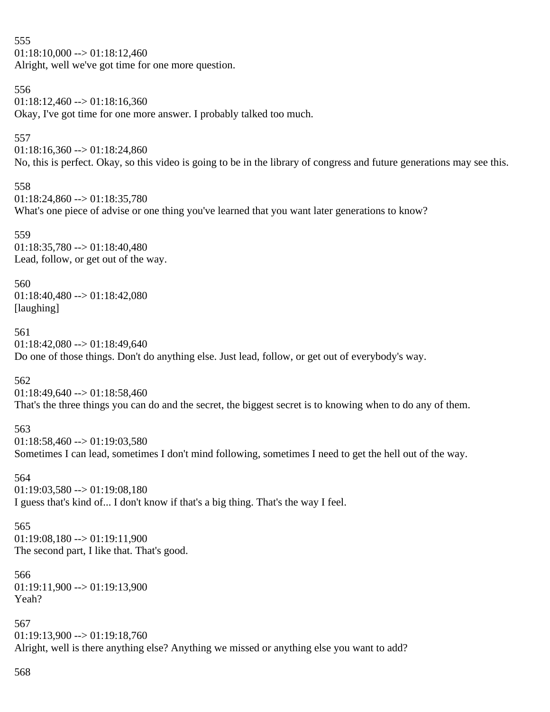555  $01:18:10,000 \rightarrow 01:18:12,460$ Alright, well we've got time for one more question.

#### 556

 $01:18:12.460 \rightarrow 01:18:16.360$ Okay, I've got time for one more answer. I probably talked too much.

#### 557

 $01:18:16,360 \rightarrow 01:18:24,860$ 

No, this is perfect. Okay, so this video is going to be in the library of congress and future generations may see this.

#### 558

 $01:18:24.860 \rightarrow 01:18:35.780$ What's one piece of advise or one thing you've learned that you want later generations to know?

#### 559

 $01:18:35,780 \rightarrow 01:18:40,480$ Lead, follow, or get out of the way.

# 560

01:18:40,480 --> 01:18:42,080 [laughing]

# 561

 $01:18:42,080 \rightarrow 01:18:49,640$ Do one of those things. Don't do anything else. Just lead, follow, or get out of everybody's way.

# 562

 $01:18:49,640 \rightarrow 01:18:58,460$ That's the three things you can do and the secret, the biggest secret is to knowing when to do any of them.

# 563

 $01:18:58,460 \rightarrow 01:19:03,580$ Sometimes I can lead, sometimes I don't mind following, sometimes I need to get the hell out of the way.

#### 564

 $01:19:03,580 \rightarrow 01:19:08,180$ I guess that's kind of... I don't know if that's a big thing. That's the way I feel.

# 565

 $01:19:08,180 \rightarrow 01:19:11,900$ The second part, I like that. That's good.

566  $01:19:11,900 \rightarrow 01:19:13,900$ Yeah?

567  $01:19:13.900 \rightarrow 01:19:18.760$ Alright, well is there anything else? Anything we missed or anything else you want to add?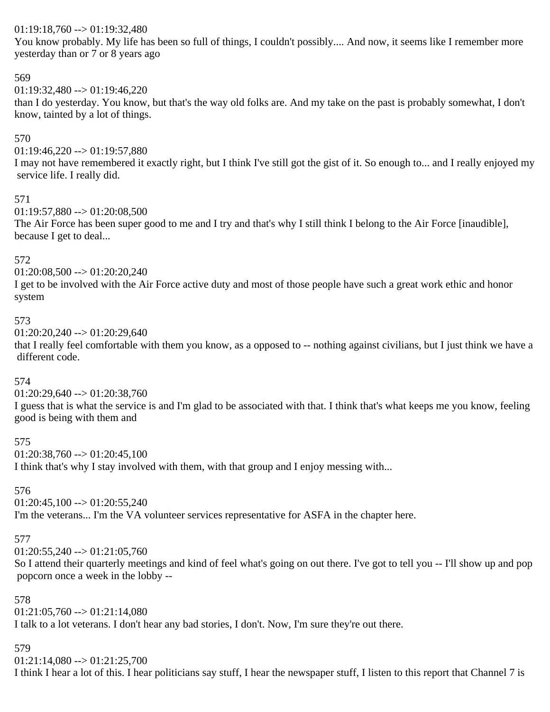# $01:19:18,760 \rightarrow 01:19:32,480$

You know probably. My life has been so full of things, I couldn't possibly.... And now, it seems like I remember more yesterday than or 7 or 8 years ago

# 569

 $01:19:32.480 \rightarrow 01:19:46.220$ 

than I do yesterday. You know, but that's the way old folks are. And my take on the past is probably somewhat, I don't know, tainted by a lot of things.

# 570

 $01:19:46,220 \rightarrow 01:19:57,880$ 

I may not have remembered it exactly right, but I think I've still got the gist of it. So enough to... and I really enjoyed my service life. I really did.

#### 571

 $01:19:57,880 \rightarrow 01:20:08,500$ 

The Air Force has been super good to me and I try and that's why I still think I belong to the Air Force [inaudible], because I get to deal...

# 572

 $01:20:08,500 \rightarrow 01:20:20,240$ 

I get to be involved with the Air Force active duty and most of those people have such a great work ethic and honor system

# 573

 $01:20:20.240 \rightarrow 01:20:29.640$ 

that I really feel comfortable with them you know, as a opposed to -- nothing against civilians, but I just think we have a different code.

# 574

 $01:20:29,640 \rightarrow 01:20:38,760$ 

I guess that is what the service is and I'm glad to be associated with that. I think that's what keeps me you know, feeling good is being with them and

# 575

 $01:20:38,760 \rightarrow 01:20:45,100$ 

I think that's why I stay involved with them, with that group and I enjoy messing with...

# 576

 $01:20:45,100 \rightarrow 01:20:55,240$ 

I'm the veterans... I'm the VA volunteer services representative for ASFA in the chapter here.

# 577

 $01:20:55,240 \rightarrow 01:21:05,760$ 

So I attend their quarterly meetings and kind of feel what's going on out there. I've got to tell you -- I'll show up and pop popcorn once a week in the lobby --

# 578

 $01:21:05,760 \rightarrow 01:21:14,080$ I talk to a lot veterans. I don't hear any bad stories, I don't. Now, I'm sure they're out there.

# 579

 $01:21:14,080 \rightarrow 01:21:25,700$ 

I think I hear a lot of this. I hear politicians say stuff, I hear the newspaper stuff, I listen to this report that Channel 7 is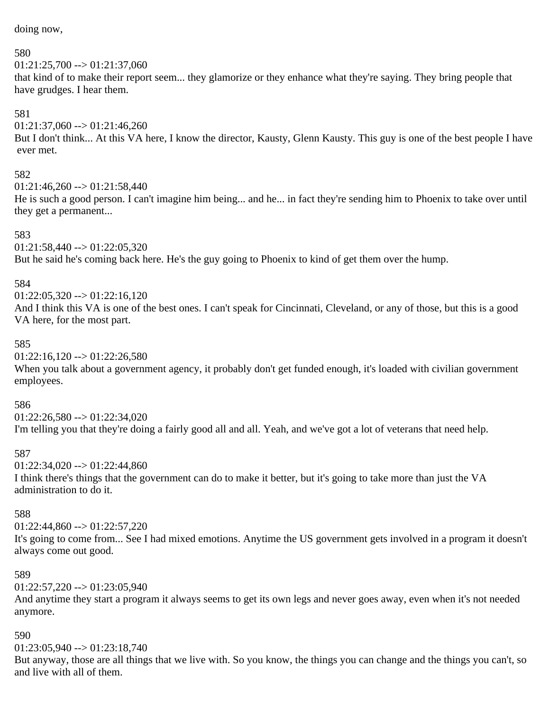doing now,

#### 580

 $01:21:25,700 \rightarrow 01:21:37,060$ that kind of to make their report seem... they glamorize or they enhance what they're saying. They bring people that have grudges. I hear them.

#### 581

 $01:21:37,060 \rightarrow 01:21:46,260$ But I don't think... At this VA here, I know the director, Kausty, Glenn Kausty. This guy is one of the best people I have ever met.

#### 582

 $01:21:46,260 \rightarrow 01:21:58,440$ 

He is such a good person. I can't imagine him being... and he... in fact they're sending him to Phoenix to take over until they get a permanent...

#### 583

 $01:21:58,440 \rightarrow 01:22:05,320$ But he said he's coming back here. He's the guy going to Phoenix to kind of get them over the hump.

#### 584

 $01:22:05,320 \rightarrow 01:22:16,120$ 

And I think this VA is one of the best ones. I can't speak for Cincinnati, Cleveland, or any of those, but this is a good VA here, for the most part.

#### 585

 $01:22:16,120 \rightarrow 01:22:26,580$ 

When you talk about a government agency, it probably don't get funded enough, it's loaded with civilian government employees.

#### 586

 $01:22:26,580 \rightarrow 01:22:34,020$ I'm telling you that they're doing a fairly good all and all. Yeah, and we've got a lot of veterans that need help.

#### 587

 $01:22:34,020 \rightarrow 01:22:44,860$ 

I think there's things that the government can do to make it better, but it's going to take more than just the VA administration to do it.

#### 588

 $01:22:44.860 \rightarrow 01:22:57.220$ 

It's going to come from... See I had mixed emotions. Anytime the US government gets involved in a program it doesn't always come out good.

#### 589

 $01:22:57,220 \rightarrow 01:23:05,940$ 

And anytime they start a program it always seems to get its own legs and never goes away, even when it's not needed anymore.

#### 590

 $01:23:05,940 \rightarrow 01:23:18,740$ 

But anyway, those are all things that we live with. So you know, the things you can change and the things you can't, so and live with all of them.